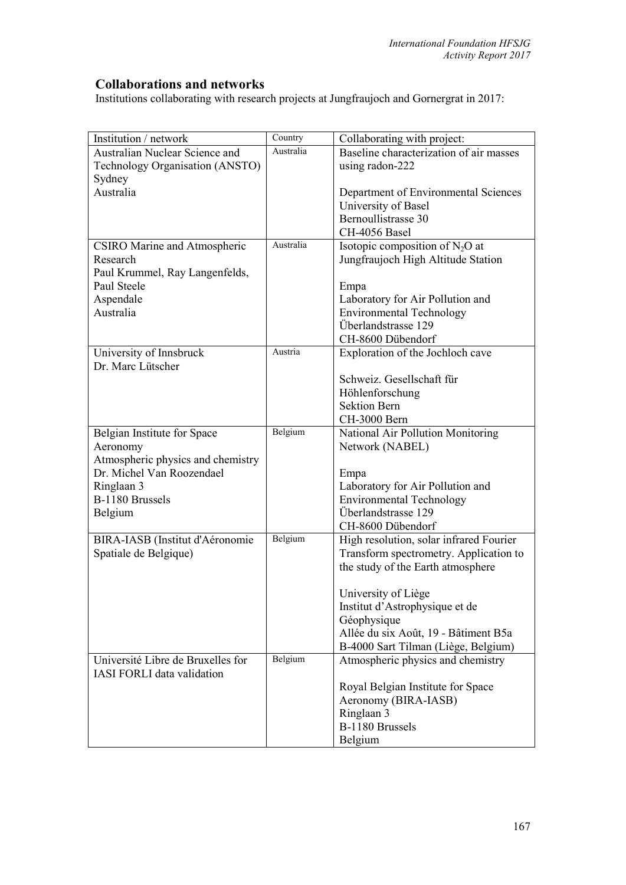## **Collaborations and networks**

Institutions collaborating with research projects at Jungfraujoch and Gornergrat in 2017:

| Institution / network             | Country   | Collaborating with project:             |
|-----------------------------------|-----------|-----------------------------------------|
| Australian Nuclear Science and    | Australia | Baseline characterization of air masses |
| Technology Organisation (ANSTO)   |           | using radon-222                         |
| Sydney                            |           |                                         |
| Australia                         |           | Department of Environmental Sciences    |
|                                   |           | University of Basel                     |
|                                   |           | Bernoullistrasse 30                     |
|                                   |           | CH-4056 Basel                           |
| CSIRO Marine and Atmospheric      | Australia | Isotopic composition of $N_2O$ at       |
| Research                          |           | Jungfraujoch High Altitude Station      |
| Paul Krummel, Ray Langenfelds,    |           |                                         |
| Paul Steele                       |           | Empa                                    |
| Aspendale                         |           | Laboratory for Air Pollution and        |
| Australia                         |           | <b>Environmental Technology</b>         |
|                                   |           | Überlandstrasse 129                     |
|                                   |           | CH-8600 Dübendorf                       |
| University of Innsbruck           | Austria   | Exploration of the Jochloch cave        |
| Dr. Marc Lütscher                 |           |                                         |
|                                   |           | Schweiz. Gesellschaft für               |
|                                   |           | Höhlenforschung                         |
|                                   |           | <b>Sektion Bern</b>                     |
|                                   |           | CH-3000 Bern                            |
| Belgian Institute for Space       | Belgium   | National Air Pollution Monitoring       |
| Aeronomy                          |           | Network (NABEL)                         |
| Atmospheric physics and chemistry |           |                                         |
| Dr. Michel Van Roozendael         |           | Empa                                    |
| Ringlaan 3                        |           | Laboratory for Air Pollution and        |
| B-1180 Brussels                   |           | <b>Environmental Technology</b>         |
| Belgium                           |           | Überlandstrasse 129                     |
|                                   |           | CH-8600 Dübendorf                       |
| BIRA-IASB (Institut d'Aéronomie   | Belgium   | High resolution, solar infrared Fourier |
| Spatiale de Belgique)             |           | Transform spectrometry. Application to  |
|                                   |           | the study of the Earth atmosphere       |
|                                   |           |                                         |
|                                   |           | University of Liège                     |
|                                   |           | Institut d'Astrophysique et de          |
|                                   |           | Géophysique                             |
|                                   |           | Allée du six Août, 19 - Bâtiment B5a    |
|                                   |           | B-4000 Sart Tilman (Liège, Belgium)     |
| Université Libre de Bruxelles for | Belgium   | Atmospheric physics and chemistry       |
| <b>IASI FORLI</b> data validation |           |                                         |
|                                   |           | Royal Belgian Institute for Space       |
|                                   |           | Aeronomy (BIRA-IASB)                    |
|                                   |           | Ringlaan 3                              |
|                                   |           | B-1180 Brussels                         |
|                                   |           | Belgium                                 |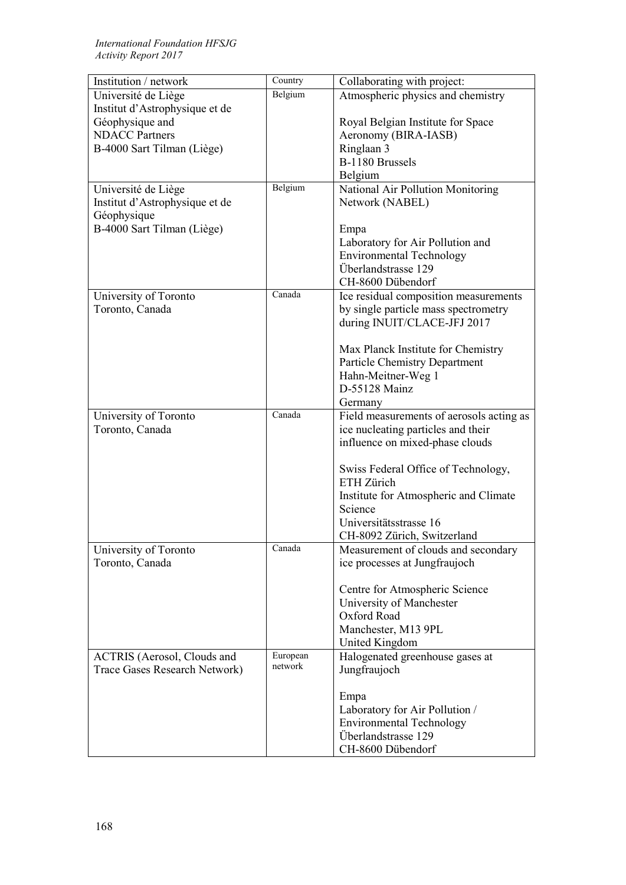| Institution / network              | Country  | Collaborating with project:              |
|------------------------------------|----------|------------------------------------------|
| Université de Liège                | Belgium  | Atmospheric physics and chemistry        |
| Institut d'Astrophysique et de     |          |                                          |
| Géophysique and                    |          | Royal Belgian Institute for Space        |
| <b>NDACC</b> Partners              |          | Aeronomy (BIRA-IASB)                     |
| B-4000 Sart Tilman (Liège)         |          | Ringlaan 3                               |
|                                    |          | B-1180 Brussels                          |
|                                    |          | Belgium                                  |
| Université de Liège                | Belgium  | National Air Pollution Monitoring        |
| Institut d'Astrophysique et de     |          | Network (NABEL)                          |
| Géophysique                        |          |                                          |
| B-4000 Sart Tilman (Liège)         |          | Empa                                     |
|                                    |          | Laboratory for Air Pollution and         |
|                                    |          | <b>Environmental Technology</b>          |
|                                    |          | Überlandstrasse 129                      |
|                                    |          | CH-8600 Dübendorf                        |
| University of Toronto              | Canada   | Ice residual composition measurements    |
| Toronto, Canada                    |          | by single particle mass spectrometry     |
|                                    |          | during INUIT/CLACE-JFJ 2017              |
|                                    |          |                                          |
|                                    |          | Max Planck Institute for Chemistry       |
|                                    |          | Particle Chemistry Department            |
|                                    |          | Hahn-Meitner-Weg 1                       |
|                                    |          | D-55128 Mainz                            |
|                                    |          | Germany                                  |
| University of Toronto              | Canada   | Field measurements of aerosols acting as |
| Toronto, Canada                    |          | ice nucleating particles and their       |
|                                    |          | influence on mixed-phase clouds          |
|                                    |          |                                          |
|                                    |          | Swiss Federal Office of Technology,      |
|                                    |          | ETH Zürich                               |
|                                    |          | Institute for Atmospheric and Climate    |
|                                    |          | Science                                  |
|                                    |          | Universitätsstrasse 16                   |
|                                    |          | CH-8092 Zürich, Switzerland              |
| University of Toronto              | Canada   | Measurement of clouds and secondary      |
| Toronto, Canada                    |          | ice processes at Jungfraujoch            |
|                                    |          |                                          |
|                                    |          | Centre for Atmospheric Science           |
|                                    |          | University of Manchester                 |
|                                    |          | Oxford Road                              |
|                                    |          | Manchester, M13 9PL                      |
|                                    |          | United Kingdom                           |
| <b>ACTRIS</b> (Aerosol, Clouds and | European | Halogenated greenhouse gases at          |
| Trace Gases Research Network)      | network  | Jungfraujoch                             |
|                                    |          |                                          |
|                                    |          | Empa                                     |
|                                    |          | Laboratory for Air Pollution /           |
|                                    |          | <b>Environmental Technology</b>          |
|                                    |          | Überlandstrasse 129                      |
|                                    |          | CH-8600 Dübendorf                        |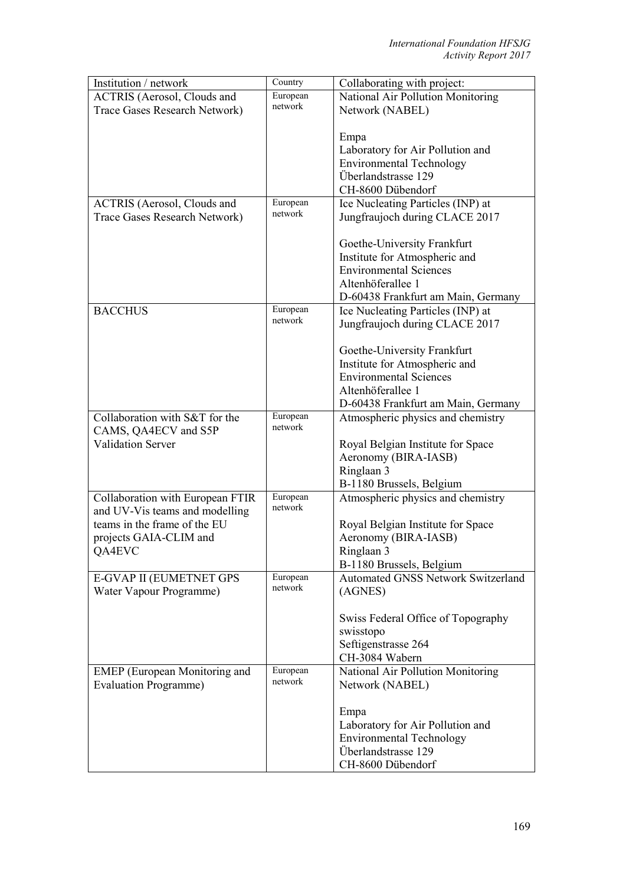| Institution / network                | Country             | Collaborating with project:               |
|--------------------------------------|---------------------|-------------------------------------------|
| <b>ACTRIS</b> (Aerosol, Clouds and   | European            | National Air Pollution Monitoring         |
| Trace Gases Research Network)        | network             | Network (NABEL)                           |
|                                      |                     |                                           |
|                                      |                     | Empa                                      |
|                                      |                     | Laboratory for Air Pollution and          |
|                                      |                     | <b>Environmental Technology</b>           |
|                                      |                     | Überlandstrasse 129                       |
|                                      |                     | CH-8600 Dübendorf                         |
| <b>ACTRIS</b> (Aerosol, Clouds and   | European            | Ice Nucleating Particles (INP) at         |
| Trace Gases Research Network)        | network             | Jungfraujoch during CLACE 2017            |
|                                      |                     |                                           |
|                                      |                     | Goethe-University Frankfurt               |
|                                      |                     | Institute for Atmospheric and             |
|                                      |                     | <b>Environmental Sciences</b>             |
|                                      |                     | Altenhöferallee 1                         |
|                                      |                     |                                           |
|                                      | European            | D-60438 Frankfurt am Main, Germany        |
| <b>BACCHUS</b>                       | network             | Ice Nucleating Particles (INP) at         |
|                                      |                     | Jungfraujoch during CLACE 2017            |
|                                      |                     | Goethe-University Frankfurt               |
|                                      |                     | Institute for Atmospheric and             |
|                                      |                     | <b>Environmental Sciences</b>             |
|                                      |                     | Altenhöferallee 1                         |
|                                      |                     | D-60438 Frankfurt am Main, Germany        |
| Collaboration with S&T for the       | European            | Atmospheric physics and chemistry         |
| CAMS, QA4ECV and S5P                 | network             |                                           |
| <b>Validation Server</b>             |                     | Royal Belgian Institute for Space         |
|                                      |                     | Aeronomy (BIRA-IASB)                      |
|                                      |                     | Ringlaan 3                                |
|                                      |                     |                                           |
|                                      | European            | B-1180 Brussels, Belgium                  |
| Collaboration with European FTIR     | network             | Atmospheric physics and chemistry         |
| and UV-Vis teams and modelling       |                     |                                           |
| teams in the frame of the EU         |                     | Royal Belgian Institute for Space         |
| projects GAIA-CLIM and               |                     | Aeronomy (BIRA-IASB)                      |
| QA4EVC                               |                     | Ringlaan 3                                |
|                                      |                     | B-1180 Brussels, Belgium                  |
| E-GVAP II (EUMETNET GPS              | European<br>network | <b>Automated GNSS Network Switzerland</b> |
| Water Vapour Programme)              |                     | (AGNES)                                   |
|                                      |                     |                                           |
|                                      |                     | Swiss Federal Office of Topography        |
|                                      |                     | swisstopo                                 |
|                                      |                     | Seftigenstrasse 264                       |
|                                      |                     | CH-3084 Wabern                            |
| <b>EMEP</b> (European Monitoring and | European            | National Air Pollution Monitoring         |
| <b>Evaluation Programme)</b>         | network             | Network (NABEL)                           |
|                                      |                     |                                           |
|                                      |                     | Empa                                      |
|                                      |                     | Laboratory for Air Pollution and          |
|                                      |                     | <b>Environmental Technology</b>           |
|                                      |                     | Überlandstrasse 129                       |
|                                      |                     | CH-8600 Dübendorf                         |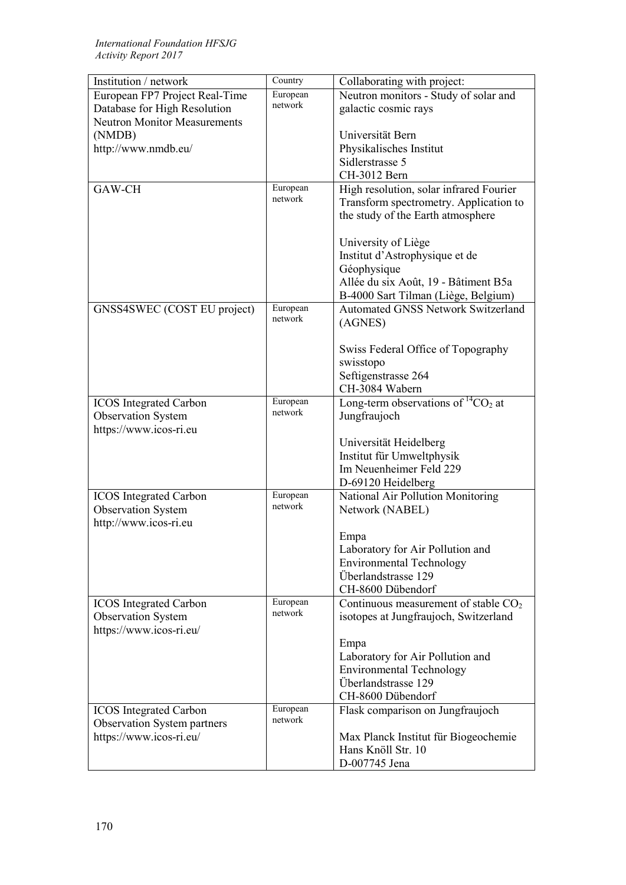| Institution / network               | Country  | Collaborating with project:                |
|-------------------------------------|----------|--------------------------------------------|
| European FP7 Project Real-Time      | European | Neutron monitors - Study of solar and      |
| Database for High Resolution        | network  | galactic cosmic rays                       |
| <b>Neutron Monitor Measurements</b> |          |                                            |
| (NMDB)                              |          | Universität Bern                           |
| http://www.nmdb.eu/                 |          | Physikalisches Institut                    |
|                                     |          | Sidlerstrasse 5                            |
|                                     |          | CH-3012 Bern                               |
| GAW-CH                              | European | High resolution, solar infrared Fourier    |
|                                     | network  | Transform spectrometry. Application to     |
|                                     |          | the study of the Earth atmosphere          |
|                                     |          |                                            |
|                                     |          | University of Liège                        |
|                                     |          | Institut d'Astrophysique et de             |
|                                     |          | Géophysique                                |
|                                     |          | Allée du six Août, 19 - Bâtiment B5a       |
|                                     |          | B-4000 Sart Tilman (Liège, Belgium)        |
| GNSS4SWEC (COST EU project)         | European | <b>Automated GNSS Network Switzerland</b>  |
|                                     | network  | (AGNES)                                    |
|                                     |          |                                            |
|                                     |          | Swiss Federal Office of Topography         |
|                                     |          | swisstopo                                  |
|                                     |          | Seftigenstrasse 264                        |
|                                     |          | CH-3084 Wabern                             |
| <b>ICOS</b> Integrated Carbon       | European | Long-term observations of ${}^{14}CO_2$ at |
| <b>Observation System</b>           | network  | Jungfraujoch                               |
| https://www.icos-ri.eu              |          |                                            |
|                                     |          | Universität Heidelberg                     |
|                                     |          | Institut für Umweltphysik                  |
|                                     |          | Im Neuenheimer Feld 229                    |
|                                     |          | D-69120 Heidelberg                         |
| <b>ICOS</b> Integrated Carbon       | European | National Air Pollution Monitoring          |
| <b>Observation System</b>           | network  | Network (NABEL)                            |
| http://www.icos-ri.eu               |          |                                            |
|                                     |          | Empa                                       |
|                                     |          | Laboratory for Air Pollution and           |
|                                     |          | <b>Environmental Technology</b>            |
|                                     |          | Überlandstrasse 129                        |
|                                     |          | CH-8600 Dübendorf                          |
| <b>ICOS</b> Integrated Carbon       | European | Continuous measurement of stable $CO2$     |
| <b>Observation System</b>           | network  | isotopes at Jungfraujoch, Switzerland      |
| https://www.icos-ri.eu/             |          |                                            |
|                                     |          | Empa                                       |
|                                     |          | Laboratory for Air Pollution and           |
|                                     |          | <b>Environmental Technology</b>            |
|                                     |          | Überlandstrasse 129                        |
|                                     |          | CH-8600 Dübendorf                          |
| <b>ICOS</b> Integrated Carbon       | European | Flask comparison on Jungfraujoch           |
| <b>Observation System partners</b>  | network  |                                            |
| https://www.icos-ri.eu/             |          | Max Planck Institut für Biogeochemie       |
|                                     |          | Hans Knöll Str. 10                         |
|                                     |          | D-007745 Jena                              |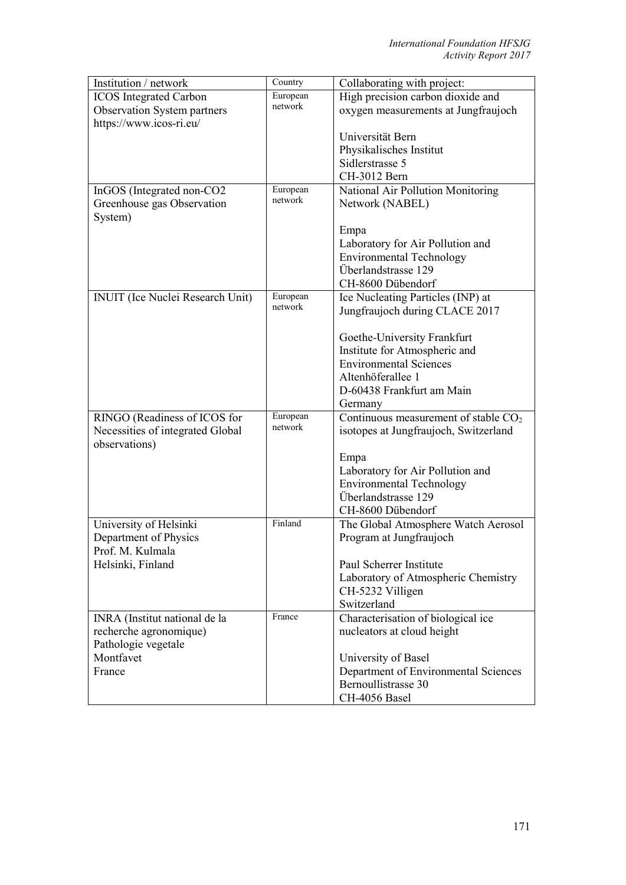| Institution / network                   | Country             | Collaborating with project:            |
|-----------------------------------------|---------------------|----------------------------------------|
| <b>ICOS</b> Integrated Carbon           | European            | High precision carbon dioxide and      |
| Observation System partners             | network             | oxygen measurements at Jungfraujoch    |
| https://www.icos-ri.eu/                 |                     |                                        |
|                                         |                     | Universität Bern                       |
|                                         |                     | Physikalisches Institut                |
|                                         |                     | Sidlerstrasse 5                        |
|                                         |                     | CH-3012 Bern                           |
| InGOS (Integrated non-CO2               | European            | National Air Pollution Monitoring      |
| Greenhouse gas Observation              | network             | Network (NABEL)                        |
| System)                                 |                     |                                        |
|                                         |                     | Empa                                   |
|                                         |                     | Laboratory for Air Pollution and       |
|                                         |                     | <b>Environmental Technology</b>        |
|                                         |                     | Überlandstrasse 129                    |
|                                         |                     | CH-8600 Dübendorf                      |
| <b>INUIT</b> (Ice Nuclei Research Unit) | European            | Ice Nucleating Particles (INP) at      |
|                                         | network             | Jungfraujoch during CLACE 2017         |
|                                         |                     |                                        |
|                                         |                     | Goethe-University Frankfurt            |
|                                         |                     | Institute for Atmospheric and          |
|                                         |                     | <b>Environmental Sciences</b>          |
|                                         |                     | Altenhöferallee 1                      |
|                                         |                     | D-60438 Frankfurt am Main              |
|                                         |                     | Germany                                |
| RINGO (Readiness of ICOS for            | European<br>network | Continuous measurement of stable $CO2$ |
| Necessities of integrated Global        |                     | isotopes at Jungfraujoch, Switzerland  |
| observations)                           |                     |                                        |
|                                         |                     | Empa                                   |
|                                         |                     | Laboratory for Air Pollution and       |
|                                         |                     | <b>Environmental Technology</b>        |
|                                         |                     | Überlandstrasse 129                    |
|                                         |                     | CH-8600 Dübendorf                      |
| University of Helsinki                  | Finland             | The Global Atmosphere Watch Aerosol    |
| Department of Physics                   |                     | Program at Jungfraujoch                |
| Prof. M. Kulmala                        |                     |                                        |
| Helsinki, Finland                       |                     | Paul Scherrer Institute                |
|                                         |                     | Laboratory of Atmospheric Chemistry    |
|                                         |                     | CH-5232 Villigen                       |
|                                         |                     | Switzerland                            |
| INRA (Institut national de la           | France              | Characterisation of biological ice     |
| recherche agronomique)                  |                     | nucleators at cloud height             |
| Pathologie vegetale                     |                     |                                        |
| Montfavet                               |                     | University of Basel                    |
| France                                  |                     | Department of Environmental Sciences   |
|                                         |                     | Bernoullistrasse 30                    |
|                                         |                     | CH-4056 Basel                          |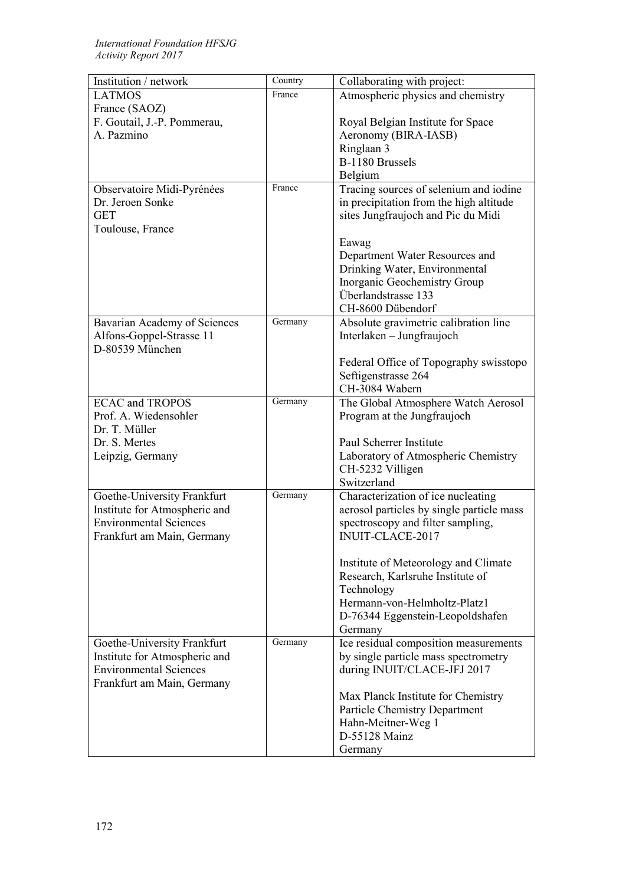| Institution / network         | $\overline{C}$ ountry | Collaborating with project:               |
|-------------------------------|-----------------------|-------------------------------------------|
| <b>LATMOS</b>                 | France                | Atmospheric physics and chemistry         |
| France (SAOZ)                 |                       |                                           |
| F. Goutail, J.-P. Pommerau,   |                       | Royal Belgian Institute for Space         |
| A. Pazmino                    |                       | Aeronomy (BIRA-IASB)                      |
|                               |                       | Ringlaan 3                                |
|                               |                       | B-1180 Brussels                           |
|                               |                       | Belgium                                   |
| Observatoire Midi-Pyrénées    | France                | Tracing sources of selenium and iodine    |
| Dr. Jeroen Sonke              |                       | in precipitation from the high altitude   |
| <b>GET</b>                    |                       | sites Jungfraujoch and Pic du Midi        |
| Toulouse, France              |                       |                                           |
|                               |                       | Eawag                                     |
|                               |                       | Department Water Resources and            |
|                               |                       | Drinking Water, Environmental             |
|                               |                       | Inorganic Geochemistry Group              |
|                               |                       | Überlandstrasse 133                       |
|                               |                       | CH-8600 Dübendorf                         |
| Bavarian Academy of Sciences  | Germany               | Absolute gravimetric calibration line     |
| Alfons-Goppel-Strasse 11      |                       | Interlaken – Jungfraujoch                 |
| D-80539 München               |                       |                                           |
|                               |                       | Federal Office of Topography swisstopo    |
|                               |                       | Seftigenstrasse 264                       |
|                               |                       | CH-3084 Wabern                            |
| <b>ECAC and TROPOS</b>        | Germany               | The Global Atmosphere Watch Aerosol       |
| Prof. A. Wiedensohler         |                       | Program at the Jungfraujoch               |
| Dr. T. Müller                 |                       |                                           |
| Dr. S. Mertes                 |                       | Paul Scherrer Institute                   |
| Leipzig, Germany              |                       | Laboratory of Atmospheric Chemistry       |
|                               |                       | CH-5232 Villigen                          |
|                               |                       | Switzerland                               |
| Goethe-University Frankfurt   | Germany               | Characterization of ice nucleating        |
| Institute for Atmospheric and |                       | aerosol particles by single particle mass |
| <b>Environmental Sciences</b> |                       | spectroscopy and filter sampling,         |
|                               |                       | <b>INUIT-CLACE-2017</b>                   |
| Frankfurt am Main, Germany    |                       |                                           |
|                               |                       | Institute of Meteorology and Climate      |
|                               |                       | Research, Karlsruhe Institute of          |
|                               |                       | Technology                                |
|                               |                       | Hermann-von-Helmholtz-Platz1              |
|                               |                       | D-76344 Eggenstein-Leopoldshafen          |
|                               |                       | Germany                                   |
| Goethe-University Frankfurt   | Germany               | Ice residual composition measurements     |
| Institute for Atmospheric and |                       | by single particle mass spectrometry      |
| <b>Environmental Sciences</b> |                       |                                           |
| Frankfurt am Main, Germany    |                       | during INUIT/CLACE-JFJ 2017               |
|                               |                       |                                           |
|                               |                       | Max Planck Institute for Chemistry        |
|                               |                       | <b>Particle Chemistry Department</b>      |
|                               |                       | Hahn-Meitner-Weg 1<br>D-55128 Mainz       |
|                               |                       |                                           |
|                               |                       | Germany                                   |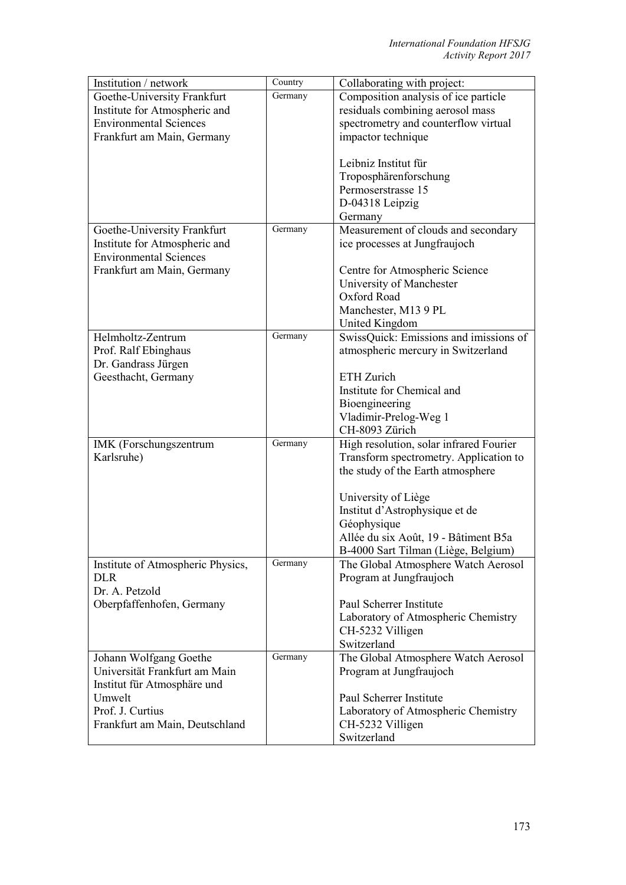| Germany<br>Composition analysis of ice particle<br>Goethe-University Frankfurt<br>residuals combining aerosol mass<br>Institute for Atmospheric and<br><b>Environmental Sciences</b><br>spectrometry and counterflow virtual<br>impactor technique<br>Frankfurt am Main, Germany<br>Leibniz Institut für<br>Troposphärenforschung<br>Permoserstrasse 15<br>D-04318 Leipzig<br>Germany<br>Germany<br>Measurement of clouds and secondary<br>Goethe-University Frankfurt<br>Institute for Atmospheric and<br>ice processes at Jungfraujoch<br><b>Environmental Sciences</b><br>Frankfurt am Main, Germany<br>Centre for Atmospheric Science<br>University of Manchester<br>Oxford Road<br>Manchester, M13 9 PL<br>United Kingdom<br>Helmholtz-Zentrum<br>Germany<br>SwissQuick: Emissions and imissions of<br>Prof. Ralf Ebinghaus<br>atmospheric mercury in Switzerland<br>Dr. Gandrass Jürgen<br>Geesthacht, Germany<br><b>ETH Zurich</b><br>Institute for Chemical and<br>Bioengineering<br>Vladimir-Prelog-Weg 1<br>CH-8093 Zürich<br>Germany<br>High resolution, solar infrared Fourier<br>IMK (Forschungszentrum<br>Karlsruhe)<br>Transform spectrometry. Application to<br>the study of the Earth atmosphere<br>University of Liège<br>Institut d'Astrophysique et de<br>Géophysique<br>Allée du six Août, 19 - Bâtiment B5a<br>B-4000 Sart Tilman (Liège, Belgium)<br>Germany<br>Institute of Atmospheric Physics,<br>The Global Atmosphere Watch Aerosol<br><b>DLR</b><br>Program at Jungfraujoch<br>Dr. A. Petzold<br>Paul Scherrer Institute<br>Oberpfaffenhofen, Germany<br>Laboratory of Atmospheric Chemistry<br>CH-5232 Villigen<br>Switzerland<br>Germany<br>The Global Atmosphere Watch Aerosol<br>Johann Wolfgang Goethe<br>Universität Frankfurt am Main<br>Program at Jungfraujoch<br>Institut für Atmosphäre und<br>Paul Scherrer Institute<br>Umwelt<br>Prof. J. Curtius<br>Laboratory of Atmospheric Chemistry<br>CH-5232 Villigen<br>Frankfurt am Main, Deutschland<br>Switzerland | Institution / network | Country | Collaborating with project: |
|----------------------------------------------------------------------------------------------------------------------------------------------------------------------------------------------------------------------------------------------------------------------------------------------------------------------------------------------------------------------------------------------------------------------------------------------------------------------------------------------------------------------------------------------------------------------------------------------------------------------------------------------------------------------------------------------------------------------------------------------------------------------------------------------------------------------------------------------------------------------------------------------------------------------------------------------------------------------------------------------------------------------------------------------------------------------------------------------------------------------------------------------------------------------------------------------------------------------------------------------------------------------------------------------------------------------------------------------------------------------------------------------------------------------------------------------------------------------------------------------------------------------------------------------------------------------------------------------------------------------------------------------------------------------------------------------------------------------------------------------------------------------------------------------------------------------------------------------------------------------------------------------------------------------------------------------------------------------------------------------------------|-----------------------|---------|-----------------------------|
|                                                                                                                                                                                                                                                                                                                                                                                                                                                                                                                                                                                                                                                                                                                                                                                                                                                                                                                                                                                                                                                                                                                                                                                                                                                                                                                                                                                                                                                                                                                                                                                                                                                                                                                                                                                                                                                                                                                                                                                                          |                       |         |                             |
|                                                                                                                                                                                                                                                                                                                                                                                                                                                                                                                                                                                                                                                                                                                                                                                                                                                                                                                                                                                                                                                                                                                                                                                                                                                                                                                                                                                                                                                                                                                                                                                                                                                                                                                                                                                                                                                                                                                                                                                                          |                       |         |                             |
|                                                                                                                                                                                                                                                                                                                                                                                                                                                                                                                                                                                                                                                                                                                                                                                                                                                                                                                                                                                                                                                                                                                                                                                                                                                                                                                                                                                                                                                                                                                                                                                                                                                                                                                                                                                                                                                                                                                                                                                                          |                       |         |                             |
|                                                                                                                                                                                                                                                                                                                                                                                                                                                                                                                                                                                                                                                                                                                                                                                                                                                                                                                                                                                                                                                                                                                                                                                                                                                                                                                                                                                                                                                                                                                                                                                                                                                                                                                                                                                                                                                                                                                                                                                                          |                       |         |                             |
|                                                                                                                                                                                                                                                                                                                                                                                                                                                                                                                                                                                                                                                                                                                                                                                                                                                                                                                                                                                                                                                                                                                                                                                                                                                                                                                                                                                                                                                                                                                                                                                                                                                                                                                                                                                                                                                                                                                                                                                                          |                       |         |                             |
|                                                                                                                                                                                                                                                                                                                                                                                                                                                                                                                                                                                                                                                                                                                                                                                                                                                                                                                                                                                                                                                                                                                                                                                                                                                                                                                                                                                                                                                                                                                                                                                                                                                                                                                                                                                                                                                                                                                                                                                                          |                       |         |                             |
|                                                                                                                                                                                                                                                                                                                                                                                                                                                                                                                                                                                                                                                                                                                                                                                                                                                                                                                                                                                                                                                                                                                                                                                                                                                                                                                                                                                                                                                                                                                                                                                                                                                                                                                                                                                                                                                                                                                                                                                                          |                       |         |                             |
|                                                                                                                                                                                                                                                                                                                                                                                                                                                                                                                                                                                                                                                                                                                                                                                                                                                                                                                                                                                                                                                                                                                                                                                                                                                                                                                                                                                                                                                                                                                                                                                                                                                                                                                                                                                                                                                                                                                                                                                                          |                       |         |                             |
|                                                                                                                                                                                                                                                                                                                                                                                                                                                                                                                                                                                                                                                                                                                                                                                                                                                                                                                                                                                                                                                                                                                                                                                                                                                                                                                                                                                                                                                                                                                                                                                                                                                                                                                                                                                                                                                                                                                                                                                                          |                       |         |                             |
|                                                                                                                                                                                                                                                                                                                                                                                                                                                                                                                                                                                                                                                                                                                                                                                                                                                                                                                                                                                                                                                                                                                                                                                                                                                                                                                                                                                                                                                                                                                                                                                                                                                                                                                                                                                                                                                                                                                                                                                                          |                       |         |                             |
|                                                                                                                                                                                                                                                                                                                                                                                                                                                                                                                                                                                                                                                                                                                                                                                                                                                                                                                                                                                                                                                                                                                                                                                                                                                                                                                                                                                                                                                                                                                                                                                                                                                                                                                                                                                                                                                                                                                                                                                                          |                       |         |                             |
|                                                                                                                                                                                                                                                                                                                                                                                                                                                                                                                                                                                                                                                                                                                                                                                                                                                                                                                                                                                                                                                                                                                                                                                                                                                                                                                                                                                                                                                                                                                                                                                                                                                                                                                                                                                                                                                                                                                                                                                                          |                       |         |                             |
|                                                                                                                                                                                                                                                                                                                                                                                                                                                                                                                                                                                                                                                                                                                                                                                                                                                                                                                                                                                                                                                                                                                                                                                                                                                                                                                                                                                                                                                                                                                                                                                                                                                                                                                                                                                                                                                                                                                                                                                                          |                       |         |                             |
|                                                                                                                                                                                                                                                                                                                                                                                                                                                                                                                                                                                                                                                                                                                                                                                                                                                                                                                                                                                                                                                                                                                                                                                                                                                                                                                                                                                                                                                                                                                                                                                                                                                                                                                                                                                                                                                                                                                                                                                                          |                       |         |                             |
|                                                                                                                                                                                                                                                                                                                                                                                                                                                                                                                                                                                                                                                                                                                                                                                                                                                                                                                                                                                                                                                                                                                                                                                                                                                                                                                                                                                                                                                                                                                                                                                                                                                                                                                                                                                                                                                                                                                                                                                                          |                       |         |                             |
|                                                                                                                                                                                                                                                                                                                                                                                                                                                                                                                                                                                                                                                                                                                                                                                                                                                                                                                                                                                                                                                                                                                                                                                                                                                                                                                                                                                                                                                                                                                                                                                                                                                                                                                                                                                                                                                                                                                                                                                                          |                       |         |                             |
|                                                                                                                                                                                                                                                                                                                                                                                                                                                                                                                                                                                                                                                                                                                                                                                                                                                                                                                                                                                                                                                                                                                                                                                                                                                                                                                                                                                                                                                                                                                                                                                                                                                                                                                                                                                                                                                                                                                                                                                                          |                       |         |                             |
|                                                                                                                                                                                                                                                                                                                                                                                                                                                                                                                                                                                                                                                                                                                                                                                                                                                                                                                                                                                                                                                                                                                                                                                                                                                                                                                                                                                                                                                                                                                                                                                                                                                                                                                                                                                                                                                                                                                                                                                                          |                       |         |                             |
|                                                                                                                                                                                                                                                                                                                                                                                                                                                                                                                                                                                                                                                                                                                                                                                                                                                                                                                                                                                                                                                                                                                                                                                                                                                                                                                                                                                                                                                                                                                                                                                                                                                                                                                                                                                                                                                                                                                                                                                                          |                       |         |                             |
|                                                                                                                                                                                                                                                                                                                                                                                                                                                                                                                                                                                                                                                                                                                                                                                                                                                                                                                                                                                                                                                                                                                                                                                                                                                                                                                                                                                                                                                                                                                                                                                                                                                                                                                                                                                                                                                                                                                                                                                                          |                       |         |                             |
|                                                                                                                                                                                                                                                                                                                                                                                                                                                                                                                                                                                                                                                                                                                                                                                                                                                                                                                                                                                                                                                                                                                                                                                                                                                                                                                                                                                                                                                                                                                                                                                                                                                                                                                                                                                                                                                                                                                                                                                                          |                       |         |                             |
|                                                                                                                                                                                                                                                                                                                                                                                                                                                                                                                                                                                                                                                                                                                                                                                                                                                                                                                                                                                                                                                                                                                                                                                                                                                                                                                                                                                                                                                                                                                                                                                                                                                                                                                                                                                                                                                                                                                                                                                                          |                       |         |                             |
|                                                                                                                                                                                                                                                                                                                                                                                                                                                                                                                                                                                                                                                                                                                                                                                                                                                                                                                                                                                                                                                                                                                                                                                                                                                                                                                                                                                                                                                                                                                                                                                                                                                                                                                                                                                                                                                                                                                                                                                                          |                       |         |                             |
|                                                                                                                                                                                                                                                                                                                                                                                                                                                                                                                                                                                                                                                                                                                                                                                                                                                                                                                                                                                                                                                                                                                                                                                                                                                                                                                                                                                                                                                                                                                                                                                                                                                                                                                                                                                                                                                                                                                                                                                                          |                       |         |                             |
|                                                                                                                                                                                                                                                                                                                                                                                                                                                                                                                                                                                                                                                                                                                                                                                                                                                                                                                                                                                                                                                                                                                                                                                                                                                                                                                                                                                                                                                                                                                                                                                                                                                                                                                                                                                                                                                                                                                                                                                                          |                       |         |                             |
|                                                                                                                                                                                                                                                                                                                                                                                                                                                                                                                                                                                                                                                                                                                                                                                                                                                                                                                                                                                                                                                                                                                                                                                                                                                                                                                                                                                                                                                                                                                                                                                                                                                                                                                                                                                                                                                                                                                                                                                                          |                       |         |                             |
|                                                                                                                                                                                                                                                                                                                                                                                                                                                                                                                                                                                                                                                                                                                                                                                                                                                                                                                                                                                                                                                                                                                                                                                                                                                                                                                                                                                                                                                                                                                                                                                                                                                                                                                                                                                                                                                                                                                                                                                                          |                       |         |                             |
|                                                                                                                                                                                                                                                                                                                                                                                                                                                                                                                                                                                                                                                                                                                                                                                                                                                                                                                                                                                                                                                                                                                                                                                                                                                                                                                                                                                                                                                                                                                                                                                                                                                                                                                                                                                                                                                                                                                                                                                                          |                       |         |                             |
|                                                                                                                                                                                                                                                                                                                                                                                                                                                                                                                                                                                                                                                                                                                                                                                                                                                                                                                                                                                                                                                                                                                                                                                                                                                                                                                                                                                                                                                                                                                                                                                                                                                                                                                                                                                                                                                                                                                                                                                                          |                       |         |                             |
|                                                                                                                                                                                                                                                                                                                                                                                                                                                                                                                                                                                                                                                                                                                                                                                                                                                                                                                                                                                                                                                                                                                                                                                                                                                                                                                                                                                                                                                                                                                                                                                                                                                                                                                                                                                                                                                                                                                                                                                                          |                       |         |                             |
|                                                                                                                                                                                                                                                                                                                                                                                                                                                                                                                                                                                                                                                                                                                                                                                                                                                                                                                                                                                                                                                                                                                                                                                                                                                                                                                                                                                                                                                                                                                                                                                                                                                                                                                                                                                                                                                                                                                                                                                                          |                       |         |                             |
|                                                                                                                                                                                                                                                                                                                                                                                                                                                                                                                                                                                                                                                                                                                                                                                                                                                                                                                                                                                                                                                                                                                                                                                                                                                                                                                                                                                                                                                                                                                                                                                                                                                                                                                                                                                                                                                                                                                                                                                                          |                       |         |                             |
|                                                                                                                                                                                                                                                                                                                                                                                                                                                                                                                                                                                                                                                                                                                                                                                                                                                                                                                                                                                                                                                                                                                                                                                                                                                                                                                                                                                                                                                                                                                                                                                                                                                                                                                                                                                                                                                                                                                                                                                                          |                       |         |                             |
|                                                                                                                                                                                                                                                                                                                                                                                                                                                                                                                                                                                                                                                                                                                                                                                                                                                                                                                                                                                                                                                                                                                                                                                                                                                                                                                                                                                                                                                                                                                                                                                                                                                                                                                                                                                                                                                                                                                                                                                                          |                       |         |                             |
|                                                                                                                                                                                                                                                                                                                                                                                                                                                                                                                                                                                                                                                                                                                                                                                                                                                                                                                                                                                                                                                                                                                                                                                                                                                                                                                                                                                                                                                                                                                                                                                                                                                                                                                                                                                                                                                                                                                                                                                                          |                       |         |                             |
|                                                                                                                                                                                                                                                                                                                                                                                                                                                                                                                                                                                                                                                                                                                                                                                                                                                                                                                                                                                                                                                                                                                                                                                                                                                                                                                                                                                                                                                                                                                                                                                                                                                                                                                                                                                                                                                                                                                                                                                                          |                       |         |                             |
|                                                                                                                                                                                                                                                                                                                                                                                                                                                                                                                                                                                                                                                                                                                                                                                                                                                                                                                                                                                                                                                                                                                                                                                                                                                                                                                                                                                                                                                                                                                                                                                                                                                                                                                                                                                                                                                                                                                                                                                                          |                       |         |                             |
|                                                                                                                                                                                                                                                                                                                                                                                                                                                                                                                                                                                                                                                                                                                                                                                                                                                                                                                                                                                                                                                                                                                                                                                                                                                                                                                                                                                                                                                                                                                                                                                                                                                                                                                                                                                                                                                                                                                                                                                                          |                       |         |                             |
|                                                                                                                                                                                                                                                                                                                                                                                                                                                                                                                                                                                                                                                                                                                                                                                                                                                                                                                                                                                                                                                                                                                                                                                                                                                                                                                                                                                                                                                                                                                                                                                                                                                                                                                                                                                                                                                                                                                                                                                                          |                       |         |                             |
|                                                                                                                                                                                                                                                                                                                                                                                                                                                                                                                                                                                                                                                                                                                                                                                                                                                                                                                                                                                                                                                                                                                                                                                                                                                                                                                                                                                                                                                                                                                                                                                                                                                                                                                                                                                                                                                                                                                                                                                                          |                       |         |                             |
|                                                                                                                                                                                                                                                                                                                                                                                                                                                                                                                                                                                                                                                                                                                                                                                                                                                                                                                                                                                                                                                                                                                                                                                                                                                                                                                                                                                                                                                                                                                                                                                                                                                                                                                                                                                                                                                                                                                                                                                                          |                       |         |                             |
|                                                                                                                                                                                                                                                                                                                                                                                                                                                                                                                                                                                                                                                                                                                                                                                                                                                                                                                                                                                                                                                                                                                                                                                                                                                                                                                                                                                                                                                                                                                                                                                                                                                                                                                                                                                                                                                                                                                                                                                                          |                       |         |                             |
|                                                                                                                                                                                                                                                                                                                                                                                                                                                                                                                                                                                                                                                                                                                                                                                                                                                                                                                                                                                                                                                                                                                                                                                                                                                                                                                                                                                                                                                                                                                                                                                                                                                                                                                                                                                                                                                                                                                                                                                                          |                       |         |                             |
|                                                                                                                                                                                                                                                                                                                                                                                                                                                                                                                                                                                                                                                                                                                                                                                                                                                                                                                                                                                                                                                                                                                                                                                                                                                                                                                                                                                                                                                                                                                                                                                                                                                                                                                                                                                                                                                                                                                                                                                                          |                       |         |                             |
|                                                                                                                                                                                                                                                                                                                                                                                                                                                                                                                                                                                                                                                                                                                                                                                                                                                                                                                                                                                                                                                                                                                                                                                                                                                                                                                                                                                                                                                                                                                                                                                                                                                                                                                                                                                                                                                                                                                                                                                                          |                       |         |                             |
|                                                                                                                                                                                                                                                                                                                                                                                                                                                                                                                                                                                                                                                                                                                                                                                                                                                                                                                                                                                                                                                                                                                                                                                                                                                                                                                                                                                                                                                                                                                                                                                                                                                                                                                                                                                                                                                                                                                                                                                                          |                       |         |                             |
|                                                                                                                                                                                                                                                                                                                                                                                                                                                                                                                                                                                                                                                                                                                                                                                                                                                                                                                                                                                                                                                                                                                                                                                                                                                                                                                                                                                                                                                                                                                                                                                                                                                                                                                                                                                                                                                                                                                                                                                                          |                       |         |                             |
|                                                                                                                                                                                                                                                                                                                                                                                                                                                                                                                                                                                                                                                                                                                                                                                                                                                                                                                                                                                                                                                                                                                                                                                                                                                                                                                                                                                                                                                                                                                                                                                                                                                                                                                                                                                                                                                                                                                                                                                                          |                       |         |                             |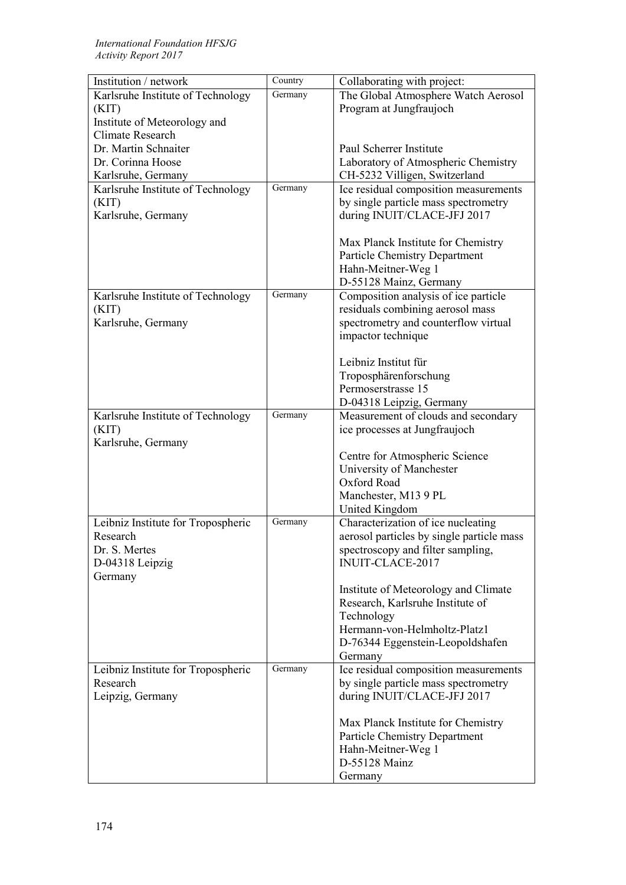| Institution / network              | Country | Collaborating with project:               |
|------------------------------------|---------|-------------------------------------------|
| Karlsruhe Institute of Technology  | Germany | The Global Atmosphere Watch Aerosol       |
| (KIT)                              |         | Program at Jungfraujoch                   |
| Institute of Meteorology and       |         |                                           |
| <b>Climate Research</b>            |         |                                           |
| Dr. Martin Schnaiter               |         | Paul Scherrer Institute                   |
| Dr. Corinna Hoose                  |         | Laboratory of Atmospheric Chemistry       |
| Karlsruhe, Germany                 |         | CH-5232 Villigen, Switzerland             |
| Karlsruhe Institute of Technology  | Germany | Ice residual composition measurements     |
| (KIT)                              |         | by single particle mass spectrometry      |
| Karlsruhe, Germany                 |         | during INUIT/CLACE-JFJ 2017               |
|                                    |         |                                           |
|                                    |         | Max Planck Institute for Chemistry        |
|                                    |         | <b>Particle Chemistry Department</b>      |
|                                    |         | Hahn-Meitner-Weg 1                        |
|                                    |         | D-55128 Mainz, Germany                    |
| Karlsruhe Institute of Technology  | Germany | Composition analysis of ice particle      |
| (KIT)                              |         | residuals combining aerosol mass          |
| Karlsruhe, Germany                 |         | spectrometry and counterflow virtual      |
|                                    |         | impactor technique                        |
|                                    |         |                                           |
|                                    |         | Leibniz Institut für                      |
|                                    |         | Troposphärenforschung                     |
|                                    |         | Permoserstrasse 15                        |
|                                    |         | D-04318 Leipzig, Germany                  |
| Karlsruhe Institute of Technology  | Germany | Measurement of clouds and secondary       |
| (KIT)                              |         | ice processes at Jungfraujoch             |
| Karlsruhe, Germany                 |         |                                           |
|                                    |         | Centre for Atmospheric Science            |
|                                    |         | University of Manchester                  |
|                                    |         | Oxford Road                               |
|                                    |         | Manchester, M13 9 PL                      |
|                                    |         | United Kingdom                            |
| Leibniz Institute for Tropospheric | Germany | Characterization of ice nucleating        |
| Research                           |         | aerosol particles by single particle mass |
| Dr. S. Mertes                      |         | spectroscopy and filter sampling,         |
| D-04318 Leipzig                    |         | <b>INUIT-CLACE-2017</b>                   |
| Germany                            |         |                                           |
|                                    |         | Institute of Meteorology and Climate      |
|                                    |         | Research, Karlsruhe Institute of          |
|                                    |         | Technology                                |
|                                    |         | Hermann-von-Helmholtz-Platz1              |
|                                    |         | D-76344 Eggenstein-Leopoldshafen          |
|                                    |         | Germany                                   |
| Leibniz Institute for Tropospheric | Germany | Ice residual composition measurements     |
| Research                           |         | by single particle mass spectrometry      |
| Leipzig, Germany                   |         | during INUIT/CLACE-JFJ 2017               |
|                                    |         |                                           |
|                                    |         | Max Planck Institute for Chemistry        |
|                                    |         | <b>Particle Chemistry Department</b>      |
|                                    |         | Hahn-Meitner-Weg 1                        |
|                                    |         | D-55128 Mainz                             |
|                                    |         | Germany                                   |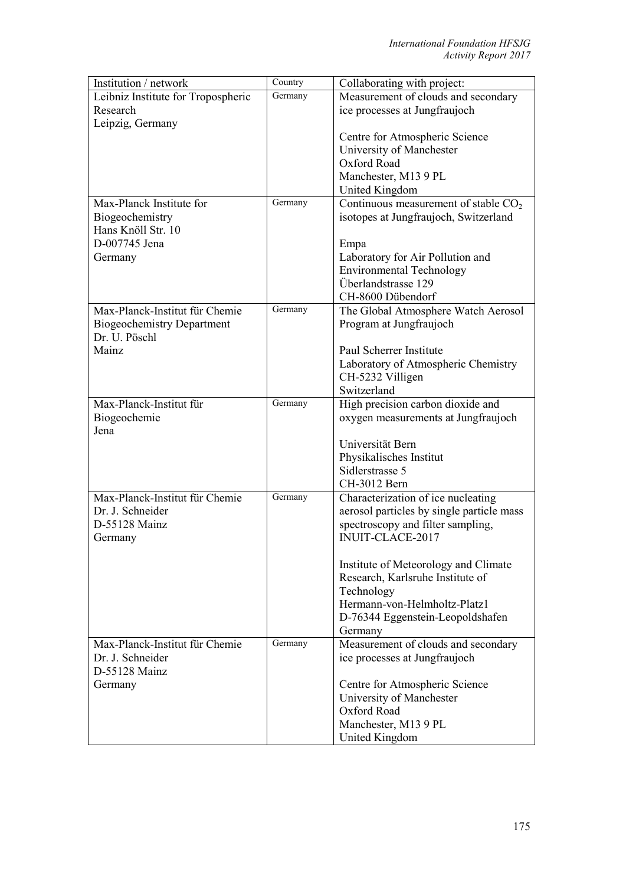| Institution / network              | Country | Collaborating with project:               |
|------------------------------------|---------|-------------------------------------------|
| Leibniz Institute for Tropospheric | Germany | Measurement of clouds and secondary       |
| Research                           |         | ice processes at Jungfraujoch             |
| Leipzig, Germany                   |         |                                           |
|                                    |         | Centre for Atmospheric Science            |
|                                    |         | University of Manchester                  |
|                                    |         | Oxford Road                               |
|                                    |         | Manchester, M13 9 PL                      |
|                                    |         | United Kingdom                            |
| Max-Planck Institute for           | Germany | Continuous measurement of stable $CO2$    |
| Biogeochemistry                    |         | isotopes at Jungfraujoch, Switzerland     |
| Hans Knöll Str. 10                 |         |                                           |
| D-007745 Jena                      |         | Empa                                      |
| Germany                            |         | Laboratory for Air Pollution and          |
|                                    |         | <b>Environmental Technology</b>           |
|                                    |         | Überlandstrasse 129                       |
|                                    |         | CH-8600 Dübendorf                         |
| Max-Planck-Institut für Chemie     | Germany | The Global Atmosphere Watch Aerosol       |
| <b>Biogeochemistry Department</b>  |         | Program at Jungfraujoch                   |
| Dr. U. Pöschl                      |         |                                           |
| Mainz                              |         | Paul Scherrer Institute                   |
|                                    |         | Laboratory of Atmospheric Chemistry       |
|                                    |         | CH-5232 Villigen                          |
|                                    |         | Switzerland                               |
| Max-Planck-Institut für            | Germany | High precision carbon dioxide and         |
| Biogeochemie                       |         | oxygen measurements at Jungfraujoch       |
| Jena                               |         |                                           |
|                                    |         | Universität Bern                          |
|                                    |         | Physikalisches Institut                   |
|                                    |         | Sidlerstrasse 5                           |
|                                    |         | CH-3012 Bern                              |
| Max-Planck-Institut für Chemie     | Germany | Characterization of ice nucleating        |
| Dr. J. Schneider                   |         | aerosol particles by single particle mass |
| D-55128 Mainz                      |         | spectroscopy and filter sampling,         |
| Germany                            |         | INUIT-CLACE-2017                          |
|                                    |         |                                           |
|                                    |         | Institute of Meteorology and Climate      |
|                                    |         | Research, Karlsruhe Institute of          |
|                                    |         | Technology                                |
|                                    |         | Hermann-von-Helmholtz-Platz1              |
|                                    |         | D-76344 Eggenstein-Leopoldshafen          |
|                                    |         | Germany                                   |
| Max-Planck-Institut für Chemie     | Germany | Measurement of clouds and secondary       |
| Dr. J. Schneider                   |         | ice processes at Jungfraujoch             |
| D-55128 Mainz                      |         |                                           |
| Germany                            |         | Centre for Atmospheric Science            |
|                                    |         | University of Manchester                  |
|                                    |         | Oxford Road                               |
|                                    |         | Manchester, M13 9 PL                      |
|                                    |         | United Kingdom                            |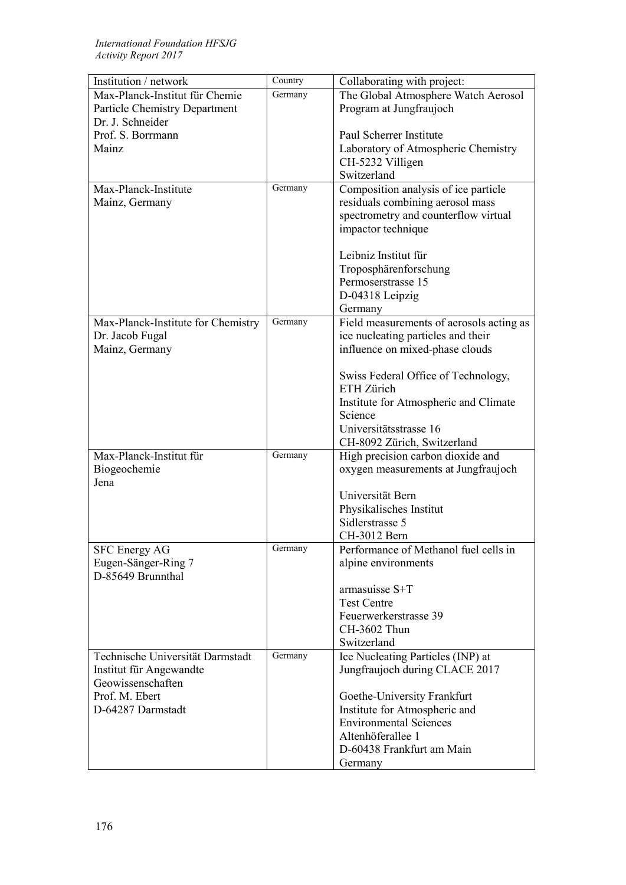| Germany<br>Max-Planck-Institut für Chemie<br>The Global Atmosphere Watch Aerosol<br>Program at Jungfraujoch<br><b>Particle Chemistry Department</b><br>Dr. J. Schneider<br>Prof. S. Borrmann<br>Paul Scherrer Institute<br>Laboratory of Atmospheric Chemistry<br>Mainz<br>CH-5232 Villigen<br>Switzerland<br>Composition analysis of ice particle<br>Germany<br>Max-Planck-Institute<br>residuals combining aerosol mass<br>Mainz, Germany<br>spectrometry and counterflow virtual<br>impactor technique<br>Leibniz Institut für<br>Troposphärenforschung<br>Permoserstrasse 15<br>D-04318 Leipzig<br>Germany<br>Germany<br>Max-Planck-Institute for Chemistry<br>Field measurements of aerosols acting as<br>ice nucleating particles and their<br>Dr. Jacob Fugal<br>Mainz, Germany<br>influence on mixed-phase clouds<br>Swiss Federal Office of Technology,<br>ETH Zürich<br>Institute for Atmospheric and Climate<br>Science<br>Universitätsstrasse 16<br>CH-8092 Zürich, Switzerland<br>Max-Planck-Institut für<br>Germany<br>High precision carbon dioxide and<br>Biogeochemie<br>oxygen measurements at Jungfraujoch<br>Jena<br>Universität Bern<br>Physikalisches Institut<br>Sidlerstrasse 5<br>CH-3012 Bern<br><b>SFC Energy AG</b><br>Germany<br>Performance of Methanol fuel cells in<br>Eugen-Sänger-Ring 7<br>alpine environments<br>D-85649 Brunnthal<br>armasuisse S+T<br><b>Test Centre</b><br>Feuerwerkerstrasse 39<br>CH-3602 Thun<br>Switzerland<br>Germany<br>Ice Nucleating Particles (INP) at<br>Technische Universität Darmstadt<br>Institut für Angewandte<br>Jungfraujoch during CLACE 2017<br>Geowissenschaften<br>Prof. M. Ebert<br>Goethe-University Frankfurt<br>D-64287 Darmstadt<br>Institute for Atmospheric and<br><b>Environmental Sciences</b><br>Altenhöferallee 1<br>D-60438 Frankfurt am Main | Institution / network | Country | Collaborating with project: |
|----------------------------------------------------------------------------------------------------------------------------------------------------------------------------------------------------------------------------------------------------------------------------------------------------------------------------------------------------------------------------------------------------------------------------------------------------------------------------------------------------------------------------------------------------------------------------------------------------------------------------------------------------------------------------------------------------------------------------------------------------------------------------------------------------------------------------------------------------------------------------------------------------------------------------------------------------------------------------------------------------------------------------------------------------------------------------------------------------------------------------------------------------------------------------------------------------------------------------------------------------------------------------------------------------------------------------------------------------------------------------------------------------------------------------------------------------------------------------------------------------------------------------------------------------------------------------------------------------------------------------------------------------------------------------------------------------------------------------------------------------------------------------------------------------------------------------------------|-----------------------|---------|-----------------------------|
|                                                                                                                                                                                                                                                                                                                                                                                                                                                                                                                                                                                                                                                                                                                                                                                                                                                                                                                                                                                                                                                                                                                                                                                                                                                                                                                                                                                                                                                                                                                                                                                                                                                                                                                                                                                                                                        |                       |         |                             |
|                                                                                                                                                                                                                                                                                                                                                                                                                                                                                                                                                                                                                                                                                                                                                                                                                                                                                                                                                                                                                                                                                                                                                                                                                                                                                                                                                                                                                                                                                                                                                                                                                                                                                                                                                                                                                                        |                       |         |                             |
|                                                                                                                                                                                                                                                                                                                                                                                                                                                                                                                                                                                                                                                                                                                                                                                                                                                                                                                                                                                                                                                                                                                                                                                                                                                                                                                                                                                                                                                                                                                                                                                                                                                                                                                                                                                                                                        |                       |         |                             |
|                                                                                                                                                                                                                                                                                                                                                                                                                                                                                                                                                                                                                                                                                                                                                                                                                                                                                                                                                                                                                                                                                                                                                                                                                                                                                                                                                                                                                                                                                                                                                                                                                                                                                                                                                                                                                                        |                       |         |                             |
|                                                                                                                                                                                                                                                                                                                                                                                                                                                                                                                                                                                                                                                                                                                                                                                                                                                                                                                                                                                                                                                                                                                                                                                                                                                                                                                                                                                                                                                                                                                                                                                                                                                                                                                                                                                                                                        |                       |         |                             |
|                                                                                                                                                                                                                                                                                                                                                                                                                                                                                                                                                                                                                                                                                                                                                                                                                                                                                                                                                                                                                                                                                                                                                                                                                                                                                                                                                                                                                                                                                                                                                                                                                                                                                                                                                                                                                                        |                       |         |                             |
|                                                                                                                                                                                                                                                                                                                                                                                                                                                                                                                                                                                                                                                                                                                                                                                                                                                                                                                                                                                                                                                                                                                                                                                                                                                                                                                                                                                                                                                                                                                                                                                                                                                                                                                                                                                                                                        |                       |         |                             |
|                                                                                                                                                                                                                                                                                                                                                                                                                                                                                                                                                                                                                                                                                                                                                                                                                                                                                                                                                                                                                                                                                                                                                                                                                                                                                                                                                                                                                                                                                                                                                                                                                                                                                                                                                                                                                                        |                       |         |                             |
|                                                                                                                                                                                                                                                                                                                                                                                                                                                                                                                                                                                                                                                                                                                                                                                                                                                                                                                                                                                                                                                                                                                                                                                                                                                                                                                                                                                                                                                                                                                                                                                                                                                                                                                                                                                                                                        |                       |         |                             |
|                                                                                                                                                                                                                                                                                                                                                                                                                                                                                                                                                                                                                                                                                                                                                                                                                                                                                                                                                                                                                                                                                                                                                                                                                                                                                                                                                                                                                                                                                                                                                                                                                                                                                                                                                                                                                                        |                       |         |                             |
|                                                                                                                                                                                                                                                                                                                                                                                                                                                                                                                                                                                                                                                                                                                                                                                                                                                                                                                                                                                                                                                                                                                                                                                                                                                                                                                                                                                                                                                                                                                                                                                                                                                                                                                                                                                                                                        |                       |         |                             |
|                                                                                                                                                                                                                                                                                                                                                                                                                                                                                                                                                                                                                                                                                                                                                                                                                                                                                                                                                                                                                                                                                                                                                                                                                                                                                                                                                                                                                                                                                                                                                                                                                                                                                                                                                                                                                                        |                       |         |                             |
|                                                                                                                                                                                                                                                                                                                                                                                                                                                                                                                                                                                                                                                                                                                                                                                                                                                                                                                                                                                                                                                                                                                                                                                                                                                                                                                                                                                                                                                                                                                                                                                                                                                                                                                                                                                                                                        |                       |         |                             |
|                                                                                                                                                                                                                                                                                                                                                                                                                                                                                                                                                                                                                                                                                                                                                                                                                                                                                                                                                                                                                                                                                                                                                                                                                                                                                                                                                                                                                                                                                                                                                                                                                                                                                                                                                                                                                                        |                       |         |                             |
|                                                                                                                                                                                                                                                                                                                                                                                                                                                                                                                                                                                                                                                                                                                                                                                                                                                                                                                                                                                                                                                                                                                                                                                                                                                                                                                                                                                                                                                                                                                                                                                                                                                                                                                                                                                                                                        |                       |         |                             |
|                                                                                                                                                                                                                                                                                                                                                                                                                                                                                                                                                                                                                                                                                                                                                                                                                                                                                                                                                                                                                                                                                                                                                                                                                                                                                                                                                                                                                                                                                                                                                                                                                                                                                                                                                                                                                                        |                       |         |                             |
|                                                                                                                                                                                                                                                                                                                                                                                                                                                                                                                                                                                                                                                                                                                                                                                                                                                                                                                                                                                                                                                                                                                                                                                                                                                                                                                                                                                                                                                                                                                                                                                                                                                                                                                                                                                                                                        |                       |         |                             |
|                                                                                                                                                                                                                                                                                                                                                                                                                                                                                                                                                                                                                                                                                                                                                                                                                                                                                                                                                                                                                                                                                                                                                                                                                                                                                                                                                                                                                                                                                                                                                                                                                                                                                                                                                                                                                                        |                       |         |                             |
|                                                                                                                                                                                                                                                                                                                                                                                                                                                                                                                                                                                                                                                                                                                                                                                                                                                                                                                                                                                                                                                                                                                                                                                                                                                                                                                                                                                                                                                                                                                                                                                                                                                                                                                                                                                                                                        |                       |         |                             |
|                                                                                                                                                                                                                                                                                                                                                                                                                                                                                                                                                                                                                                                                                                                                                                                                                                                                                                                                                                                                                                                                                                                                                                                                                                                                                                                                                                                                                                                                                                                                                                                                                                                                                                                                                                                                                                        |                       |         |                             |
|                                                                                                                                                                                                                                                                                                                                                                                                                                                                                                                                                                                                                                                                                                                                                                                                                                                                                                                                                                                                                                                                                                                                                                                                                                                                                                                                                                                                                                                                                                                                                                                                                                                                                                                                                                                                                                        |                       |         |                             |
|                                                                                                                                                                                                                                                                                                                                                                                                                                                                                                                                                                                                                                                                                                                                                                                                                                                                                                                                                                                                                                                                                                                                                                                                                                                                                                                                                                                                                                                                                                                                                                                                                                                                                                                                                                                                                                        |                       |         |                             |
|                                                                                                                                                                                                                                                                                                                                                                                                                                                                                                                                                                                                                                                                                                                                                                                                                                                                                                                                                                                                                                                                                                                                                                                                                                                                                                                                                                                                                                                                                                                                                                                                                                                                                                                                                                                                                                        |                       |         |                             |
|                                                                                                                                                                                                                                                                                                                                                                                                                                                                                                                                                                                                                                                                                                                                                                                                                                                                                                                                                                                                                                                                                                                                                                                                                                                                                                                                                                                                                                                                                                                                                                                                                                                                                                                                                                                                                                        |                       |         |                             |
|                                                                                                                                                                                                                                                                                                                                                                                                                                                                                                                                                                                                                                                                                                                                                                                                                                                                                                                                                                                                                                                                                                                                                                                                                                                                                                                                                                                                                                                                                                                                                                                                                                                                                                                                                                                                                                        |                       |         |                             |
|                                                                                                                                                                                                                                                                                                                                                                                                                                                                                                                                                                                                                                                                                                                                                                                                                                                                                                                                                                                                                                                                                                                                                                                                                                                                                                                                                                                                                                                                                                                                                                                                                                                                                                                                                                                                                                        |                       |         |                             |
|                                                                                                                                                                                                                                                                                                                                                                                                                                                                                                                                                                                                                                                                                                                                                                                                                                                                                                                                                                                                                                                                                                                                                                                                                                                                                                                                                                                                                                                                                                                                                                                                                                                                                                                                                                                                                                        |                       |         |                             |
|                                                                                                                                                                                                                                                                                                                                                                                                                                                                                                                                                                                                                                                                                                                                                                                                                                                                                                                                                                                                                                                                                                                                                                                                                                                                                                                                                                                                                                                                                                                                                                                                                                                                                                                                                                                                                                        |                       |         |                             |
|                                                                                                                                                                                                                                                                                                                                                                                                                                                                                                                                                                                                                                                                                                                                                                                                                                                                                                                                                                                                                                                                                                                                                                                                                                                                                                                                                                                                                                                                                                                                                                                                                                                                                                                                                                                                                                        |                       |         |                             |
|                                                                                                                                                                                                                                                                                                                                                                                                                                                                                                                                                                                                                                                                                                                                                                                                                                                                                                                                                                                                                                                                                                                                                                                                                                                                                                                                                                                                                                                                                                                                                                                                                                                                                                                                                                                                                                        |                       |         |                             |
|                                                                                                                                                                                                                                                                                                                                                                                                                                                                                                                                                                                                                                                                                                                                                                                                                                                                                                                                                                                                                                                                                                                                                                                                                                                                                                                                                                                                                                                                                                                                                                                                                                                                                                                                                                                                                                        |                       |         |                             |
|                                                                                                                                                                                                                                                                                                                                                                                                                                                                                                                                                                                                                                                                                                                                                                                                                                                                                                                                                                                                                                                                                                                                                                                                                                                                                                                                                                                                                                                                                                                                                                                                                                                                                                                                                                                                                                        |                       |         |                             |
|                                                                                                                                                                                                                                                                                                                                                                                                                                                                                                                                                                                                                                                                                                                                                                                                                                                                                                                                                                                                                                                                                                                                                                                                                                                                                                                                                                                                                                                                                                                                                                                                                                                                                                                                                                                                                                        |                       |         |                             |
|                                                                                                                                                                                                                                                                                                                                                                                                                                                                                                                                                                                                                                                                                                                                                                                                                                                                                                                                                                                                                                                                                                                                                                                                                                                                                                                                                                                                                                                                                                                                                                                                                                                                                                                                                                                                                                        |                       |         |                             |
|                                                                                                                                                                                                                                                                                                                                                                                                                                                                                                                                                                                                                                                                                                                                                                                                                                                                                                                                                                                                                                                                                                                                                                                                                                                                                                                                                                                                                                                                                                                                                                                                                                                                                                                                                                                                                                        |                       |         |                             |
|                                                                                                                                                                                                                                                                                                                                                                                                                                                                                                                                                                                                                                                                                                                                                                                                                                                                                                                                                                                                                                                                                                                                                                                                                                                                                                                                                                                                                                                                                                                                                                                                                                                                                                                                                                                                                                        |                       |         |                             |
|                                                                                                                                                                                                                                                                                                                                                                                                                                                                                                                                                                                                                                                                                                                                                                                                                                                                                                                                                                                                                                                                                                                                                                                                                                                                                                                                                                                                                                                                                                                                                                                                                                                                                                                                                                                                                                        |                       |         |                             |
|                                                                                                                                                                                                                                                                                                                                                                                                                                                                                                                                                                                                                                                                                                                                                                                                                                                                                                                                                                                                                                                                                                                                                                                                                                                                                                                                                                                                                                                                                                                                                                                                                                                                                                                                                                                                                                        |                       |         |                             |
|                                                                                                                                                                                                                                                                                                                                                                                                                                                                                                                                                                                                                                                                                                                                                                                                                                                                                                                                                                                                                                                                                                                                                                                                                                                                                                                                                                                                                                                                                                                                                                                                                                                                                                                                                                                                                                        |                       |         |                             |
|                                                                                                                                                                                                                                                                                                                                                                                                                                                                                                                                                                                                                                                                                                                                                                                                                                                                                                                                                                                                                                                                                                                                                                                                                                                                                                                                                                                                                                                                                                                                                                                                                                                                                                                                                                                                                                        |                       |         |                             |
|                                                                                                                                                                                                                                                                                                                                                                                                                                                                                                                                                                                                                                                                                                                                                                                                                                                                                                                                                                                                                                                                                                                                                                                                                                                                                                                                                                                                                                                                                                                                                                                                                                                                                                                                                                                                                                        |                       |         |                             |
|                                                                                                                                                                                                                                                                                                                                                                                                                                                                                                                                                                                                                                                                                                                                                                                                                                                                                                                                                                                                                                                                                                                                                                                                                                                                                                                                                                                                                                                                                                                                                                                                                                                                                                                                                                                                                                        |                       |         |                             |
|                                                                                                                                                                                                                                                                                                                                                                                                                                                                                                                                                                                                                                                                                                                                                                                                                                                                                                                                                                                                                                                                                                                                                                                                                                                                                                                                                                                                                                                                                                                                                                                                                                                                                                                                                                                                                                        |                       |         |                             |
|                                                                                                                                                                                                                                                                                                                                                                                                                                                                                                                                                                                                                                                                                                                                                                                                                                                                                                                                                                                                                                                                                                                                                                                                                                                                                                                                                                                                                                                                                                                                                                                                                                                                                                                                                                                                                                        |                       |         |                             |
|                                                                                                                                                                                                                                                                                                                                                                                                                                                                                                                                                                                                                                                                                                                                                                                                                                                                                                                                                                                                                                                                                                                                                                                                                                                                                                                                                                                                                                                                                                                                                                                                                                                                                                                                                                                                                                        |                       |         |                             |
|                                                                                                                                                                                                                                                                                                                                                                                                                                                                                                                                                                                                                                                                                                                                                                                                                                                                                                                                                                                                                                                                                                                                                                                                                                                                                                                                                                                                                                                                                                                                                                                                                                                                                                                                                                                                                                        |                       |         |                             |
|                                                                                                                                                                                                                                                                                                                                                                                                                                                                                                                                                                                                                                                                                                                                                                                                                                                                                                                                                                                                                                                                                                                                                                                                                                                                                                                                                                                                                                                                                                                                                                                                                                                                                                                                                                                                                                        |                       |         |                             |
|                                                                                                                                                                                                                                                                                                                                                                                                                                                                                                                                                                                                                                                                                                                                                                                                                                                                                                                                                                                                                                                                                                                                                                                                                                                                                                                                                                                                                                                                                                                                                                                                                                                                                                                                                                                                                                        |                       |         |                             |
|                                                                                                                                                                                                                                                                                                                                                                                                                                                                                                                                                                                                                                                                                                                                                                                                                                                                                                                                                                                                                                                                                                                                                                                                                                                                                                                                                                                                                                                                                                                                                                                                                                                                                                                                                                                                                                        |                       |         |                             |
|                                                                                                                                                                                                                                                                                                                                                                                                                                                                                                                                                                                                                                                                                                                                                                                                                                                                                                                                                                                                                                                                                                                                                                                                                                                                                                                                                                                                                                                                                                                                                                                                                                                                                                                                                                                                                                        |                       |         | Germany                     |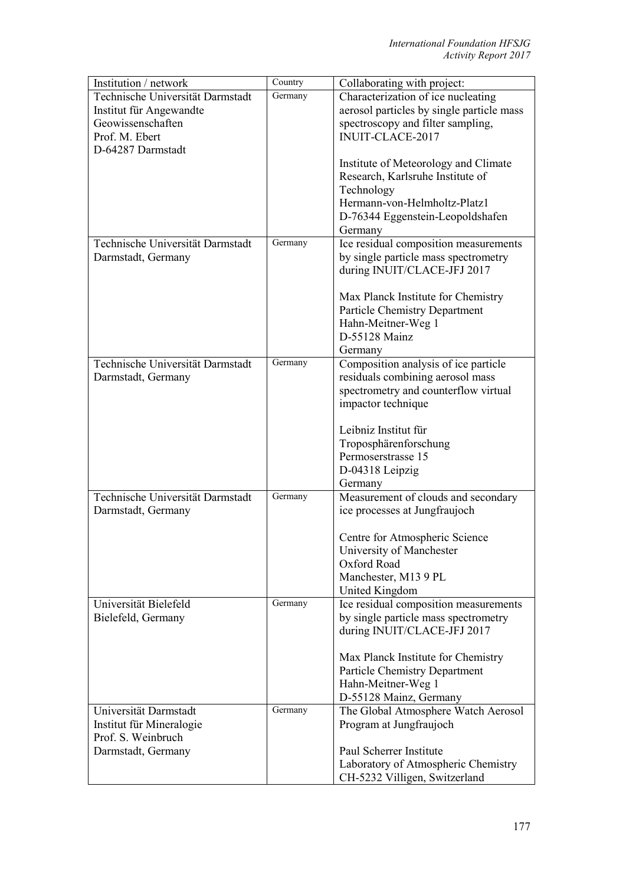| Institution / network            | Country | Collaborating with project:                                          |
|----------------------------------|---------|----------------------------------------------------------------------|
| Technische Universität Darmstadt | Germany | Characterization of ice nucleating                                   |
| Institut für Angewandte          |         | aerosol particles by single particle mass                            |
| Geowissenschaften                |         | spectroscopy and filter sampling,                                    |
| Prof. M. Ebert                   |         | INUIT-CLACE-2017                                                     |
| D-64287 Darmstadt                |         |                                                                      |
|                                  |         | Institute of Meteorology and Climate                                 |
|                                  |         | Research, Karlsruhe Institute of                                     |
|                                  |         | Technology                                                           |
|                                  |         | Hermann-von-Helmholtz-Platz1                                         |
|                                  |         | D-76344 Eggenstein-Leopoldshafen                                     |
|                                  |         | Germany                                                              |
| Technische Universität Darmstadt | Germany | Ice residual composition measurements                                |
| Darmstadt, Germany               |         | by single particle mass spectrometry                                 |
|                                  |         | during INUIT/CLACE-JFJ 2017                                          |
|                                  |         |                                                                      |
|                                  |         | Max Planck Institute for Chemistry                                   |
|                                  |         | <b>Particle Chemistry Department</b>                                 |
|                                  |         | Hahn-Meitner-Weg 1                                                   |
|                                  |         | D-55128 Mainz                                                        |
|                                  |         | Germany                                                              |
| Technische Universität Darmstadt | Germany | Composition analysis of ice particle                                 |
| Darmstadt, Germany               |         | residuals combining aerosol mass                                     |
|                                  |         | spectrometry and counterflow virtual                                 |
|                                  |         | impactor technique                                                   |
|                                  |         |                                                                      |
|                                  |         | Leibniz Institut für                                                 |
|                                  |         | Troposphärenforschung                                                |
|                                  |         | Permoserstrasse 15                                                   |
|                                  |         | D-04318 Leipzig                                                      |
|                                  |         | Germany                                                              |
| Technische Universität Darmstadt | Germany | Measurement of clouds and secondary                                  |
| Darmstadt, Germany               |         | ice processes at Jungfraujoch                                        |
|                                  |         |                                                                      |
|                                  |         | Centre for Atmospheric Science                                       |
|                                  |         | University of Manchester                                             |
|                                  |         | Oxford Road                                                          |
|                                  |         | Manchester, M13 9 PL                                                 |
|                                  |         | United Kingdom                                                       |
| Universität Bielefeld            | Germany | Ice residual composition measurements                                |
| Bielefeld, Germany               |         | by single particle mass spectrometry                                 |
|                                  |         | during INUIT/CLACE-JFJ 2017                                          |
|                                  |         |                                                                      |
|                                  |         | Max Planck Institute for Chemistry                                   |
|                                  |         | <b>Particle Chemistry Department</b>                                 |
|                                  |         | Hahn-Meitner-Weg 1                                                   |
|                                  |         | D-55128 Mainz, Germany                                               |
| Universität Darmstadt            | Germany | The Global Atmosphere Watch Aerosol                                  |
| Institut für Mineralogie         |         | Program at Jungfraujoch                                              |
| Prof. S. Weinbruch               |         |                                                                      |
| Darmstadt, Germany               |         | Paul Scherrer Institute                                              |
|                                  |         | Laboratory of Atmospheric Chemistry<br>CH-5232 Villigen, Switzerland |
|                                  |         |                                                                      |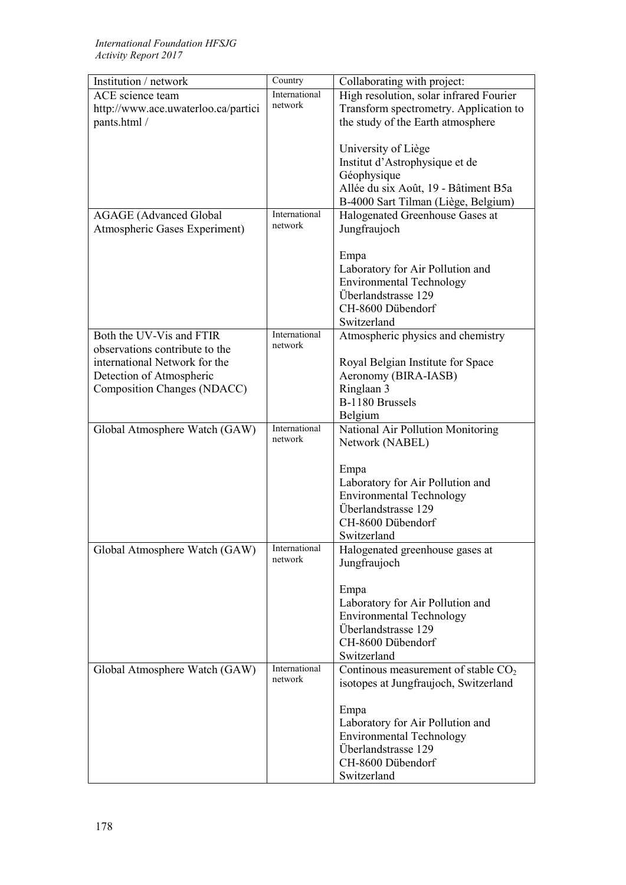| Institution / network               | Country                  | Collaborating with project:                                         |
|-------------------------------------|--------------------------|---------------------------------------------------------------------|
| ACE science team                    | International            | High resolution, solar infrared Fourier                             |
| http://www.ace.uwaterloo.ca/partici | network                  | Transform spectrometry. Application to                              |
| pants.html /                        |                          | the study of the Earth atmosphere                                   |
|                                     |                          |                                                                     |
|                                     |                          | University of Liège                                                 |
|                                     |                          | Institut d'Astrophysique et de                                      |
|                                     |                          | Géophysique                                                         |
|                                     |                          | Allée du six Août, 19 - Bâtiment B5a                                |
|                                     |                          | B-4000 Sart Tilman (Liège, Belgium)                                 |
| <b>AGAGE</b> (Advanced Global       | International            | Halogenated Greenhouse Gases at                                     |
| Atmospheric Gases Experiment)       | network                  | Jungfraujoch                                                        |
|                                     |                          |                                                                     |
|                                     |                          | Empa                                                                |
|                                     |                          | Laboratory for Air Pollution and                                    |
|                                     |                          | <b>Environmental Technology</b>                                     |
|                                     |                          | Überlandstrasse 129                                                 |
|                                     |                          | CH-8600 Dübendorf                                                   |
|                                     |                          | Switzerland                                                         |
| Both the UV-Vis and FTIR            | International            | Atmospheric physics and chemistry                                   |
| observations contribute to the      | network                  |                                                                     |
| international Network for the       |                          | Royal Belgian Institute for Space                                   |
| Detection of Atmospheric            |                          | Aeronomy (BIRA-IASB)                                                |
| Composition Changes (NDACC)         |                          | Ringlaan 3                                                          |
|                                     |                          | B-1180 Brussels                                                     |
|                                     |                          |                                                                     |
|                                     | International            | Belgium<br>National Air Pollution Monitoring                        |
| Global Atmosphere Watch (GAW)       | network                  |                                                                     |
|                                     |                          | Network (NABEL)                                                     |
|                                     |                          |                                                                     |
|                                     |                          | Empa                                                                |
|                                     |                          | Laboratory for Air Pollution and<br><b>Environmental Technology</b> |
|                                     |                          | Überlandstrasse 129                                                 |
|                                     |                          | CH-8600 Dübendorf                                                   |
|                                     |                          |                                                                     |
|                                     |                          | Switzerland                                                         |
| Global Atmosphere Watch (GAW)       | International<br>network | Halogenated greenhouse gases at                                     |
|                                     |                          | Jungfraujoch                                                        |
|                                     |                          |                                                                     |
|                                     |                          | Empa                                                                |
|                                     |                          | Laboratory for Air Pollution and<br><b>Environmental Technology</b> |
|                                     |                          | Überlandstrasse 129                                                 |
|                                     |                          |                                                                     |
|                                     |                          | CH-8600 Dübendorf<br>Switzerland                                    |
|                                     | International            |                                                                     |
| Global Atmosphere Watch (GAW)       | network                  | Continous measurement of stable CO <sub>2</sub>                     |
|                                     |                          | isotopes at Jungfraujoch, Switzerland                               |
|                                     |                          |                                                                     |
|                                     |                          | Empa                                                                |
|                                     |                          | Laboratory for Air Pollution and                                    |
|                                     |                          | <b>Environmental Technology</b>                                     |
|                                     |                          | Überlandstrasse 129                                                 |
|                                     |                          | CH-8600 Dübendorf                                                   |
|                                     |                          | Switzerland                                                         |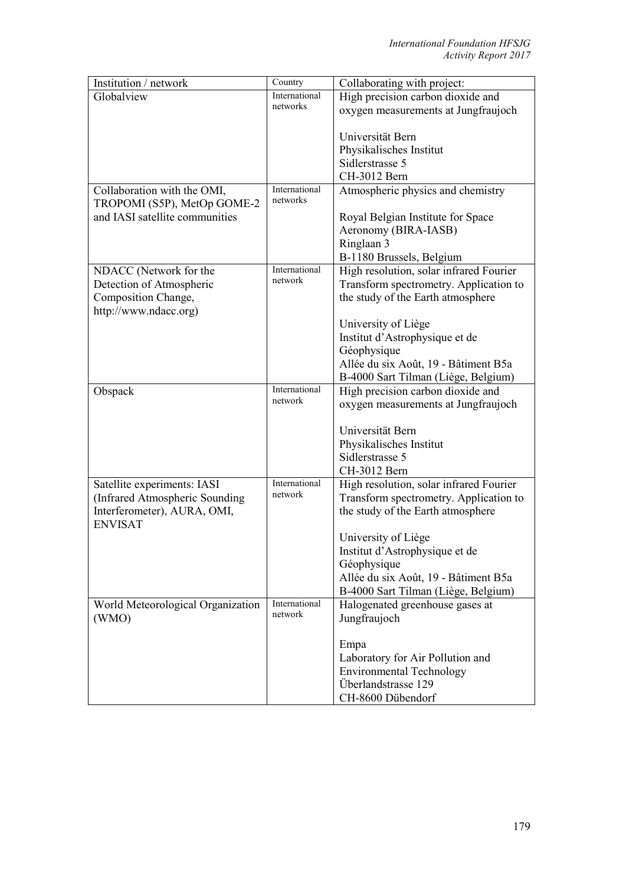| Institution / network             | Country                   | Collaborating with project:             |
|-----------------------------------|---------------------------|-----------------------------------------|
| Globalview                        | International             | High precision carbon dioxide and       |
|                                   | networks                  | oxygen measurements at Jungfraujoch     |
|                                   |                           |                                         |
|                                   |                           | Universität Bern                        |
|                                   |                           | Physikalisches Institut                 |
|                                   |                           | Sidlerstrasse 5                         |
|                                   |                           | CH-3012 Bern                            |
| Collaboration with the OMI,       | International<br>networks | Atmospheric physics and chemistry       |
| TROPOMI (S5P), MetOp GOME-2       |                           |                                         |
| and IASI satellite communities    |                           | Royal Belgian Institute for Space       |
|                                   |                           | Aeronomy (BIRA-IASB)                    |
|                                   |                           | Ringlaan 3                              |
|                                   |                           | B-1180 Brussels, Belgium                |
| NDACC (Network for the            | International<br>network  | High resolution, solar infrared Fourier |
| Detection of Atmospheric          |                           | Transform spectrometry. Application to  |
| Composition Change,               |                           | the study of the Earth atmosphere       |
| http://www.ndacc.org)             |                           |                                         |
|                                   |                           | University of Liège                     |
|                                   |                           | Institut d'Astrophysique et de          |
|                                   |                           | Géophysique                             |
|                                   |                           | Allée du six Août, 19 - Bâtiment B5a    |
|                                   | International             | B-4000 Sart Tilman (Liège, Belgium)     |
| Obspack                           | network                   | High precision carbon dioxide and       |
|                                   |                           | oxygen measurements at Jungfraujoch     |
|                                   |                           | Universität Bern                        |
|                                   |                           | Physikalisches Institut                 |
|                                   |                           | Sidlerstrasse 5                         |
|                                   |                           | CH-3012 Bern                            |
| Satellite experiments: IASI       | International             | High resolution, solar infrared Fourier |
| (Infrared Atmospheric Sounding    | network                   | Transform spectrometry. Application to  |
| Interferometer), AURA, OMI,       |                           | the study of the Earth atmosphere       |
| <b>ENVISAT</b>                    |                           |                                         |
|                                   |                           | University of Liège                     |
|                                   |                           | Institut d'Astrophysique et de          |
|                                   |                           | Géophysique                             |
|                                   |                           | Allée du six Août, 19 - Bâtiment B5a    |
|                                   |                           | B-4000 Sart Tilman (Liège, Belgium)     |
| World Meteorological Organization | International             | Halogenated greenhouse gases at         |
| (WMO)                             | network                   | Jungfraujoch                            |
|                                   |                           |                                         |
|                                   |                           | Empa                                    |
|                                   |                           | Laboratory for Air Pollution and        |
|                                   |                           | <b>Environmental Technology</b>         |
|                                   |                           | Überlandstrasse 129                     |
|                                   |                           | CH-8600 Dübendorf                       |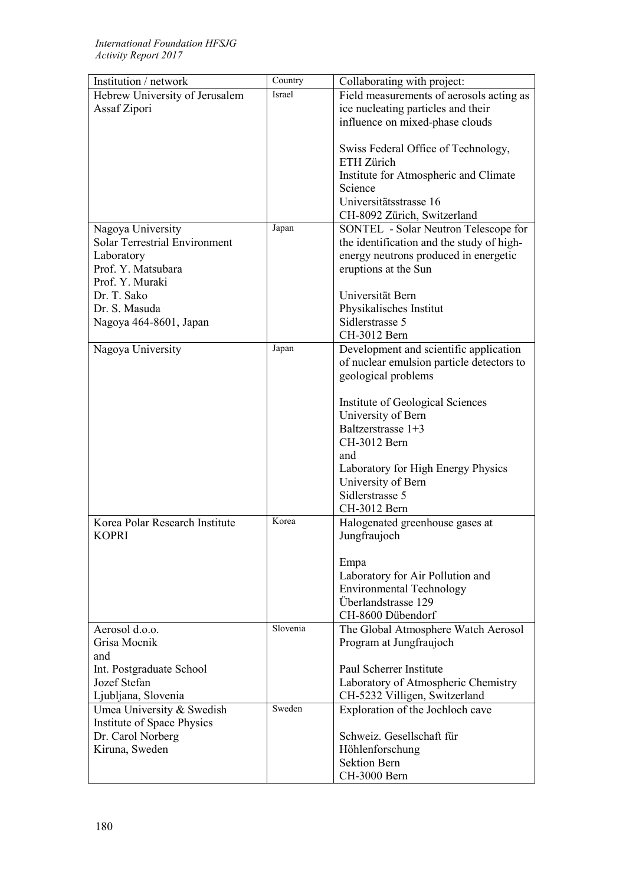| Institution / network                | Country  | Collaborating with project:                                    |
|--------------------------------------|----------|----------------------------------------------------------------|
| Hebrew University of Jerusalem       | Israel   | Field measurements of aerosols acting as                       |
| Assaf Zipori                         |          | ice nucleating particles and their                             |
|                                      |          | influence on mixed-phase clouds                                |
|                                      |          |                                                                |
|                                      |          | Swiss Federal Office of Technology,                            |
|                                      |          | ETH Zürich                                                     |
|                                      |          | Institute for Atmospheric and Climate                          |
|                                      |          | Science                                                        |
|                                      |          | Universitätsstrasse 16                                         |
|                                      |          | CH-8092 Zürich, Switzerland                                    |
| Nagoya University                    | Japan    | SONTEL - Solar Neutron Telescope for                           |
| <b>Solar Terrestrial Environment</b> |          | the identification and the study of high-                      |
| Laboratory                           |          | energy neutrons produced in energetic                          |
| Prof. Y. Matsubara                   |          | eruptions at the Sun                                           |
| Prof. Y. Muraki                      |          |                                                                |
| Dr. T. Sako                          |          | Universität Bern                                               |
| Dr. S. Masuda                        |          | Physikalisches Institut                                        |
| Nagoya 464-8601, Japan               |          | Sidlerstrasse 5                                                |
|                                      |          | CH-3012 Bern                                                   |
| Nagoya University                    | Japan    | Development and scientific application                         |
|                                      |          | of nuclear emulsion particle detectors to                      |
|                                      |          | geological problems                                            |
|                                      |          |                                                                |
|                                      |          | Institute of Geological Sciences                               |
|                                      |          | University of Bern                                             |
|                                      |          | Baltzerstrasse 1+3                                             |
|                                      |          | CH-3012 Bern                                                   |
|                                      |          | and                                                            |
|                                      |          | Laboratory for High Energy Physics                             |
|                                      |          | University of Bern                                             |
|                                      |          | Sidlerstrasse 5                                                |
|                                      | Korea    | CH-3012 Bern                                                   |
| Korea Polar Research Institute       |          | Halogenated greenhouse gases at                                |
| <b>KOPRI</b>                         |          | Jungfraujoch                                                   |
|                                      |          |                                                                |
|                                      |          | Empa                                                           |
|                                      |          | Laboratory for Air Pollution and                               |
|                                      |          | <b>Environmental Technology</b><br>Überlandstrasse 129         |
|                                      |          | CH-8600 Dübendorf                                              |
| Aerosol d.o.o.                       | Slovenia |                                                                |
| Grisa Mocnik                         |          | The Global Atmosphere Watch Aerosol<br>Program at Jungfraujoch |
| and                                  |          |                                                                |
| Int. Postgraduate School             |          | Paul Scherrer Institute                                        |
| Jozef Stefan                         |          | Laboratory of Atmospheric Chemistry                            |
| Ljubljana, Slovenia                  |          | CH-5232 Villigen, Switzerland                                  |
| Umea University & Swedish            | Sweden   | Exploration of the Jochloch cave                               |
| Institute of Space Physics           |          |                                                                |
| Dr. Carol Norberg                    |          | Schweiz. Gesellschaft für                                      |
| Kiruna, Sweden                       |          | Höhlenforschung                                                |
|                                      |          | <b>Sektion Bern</b>                                            |
|                                      |          | CH-3000 Bern                                                   |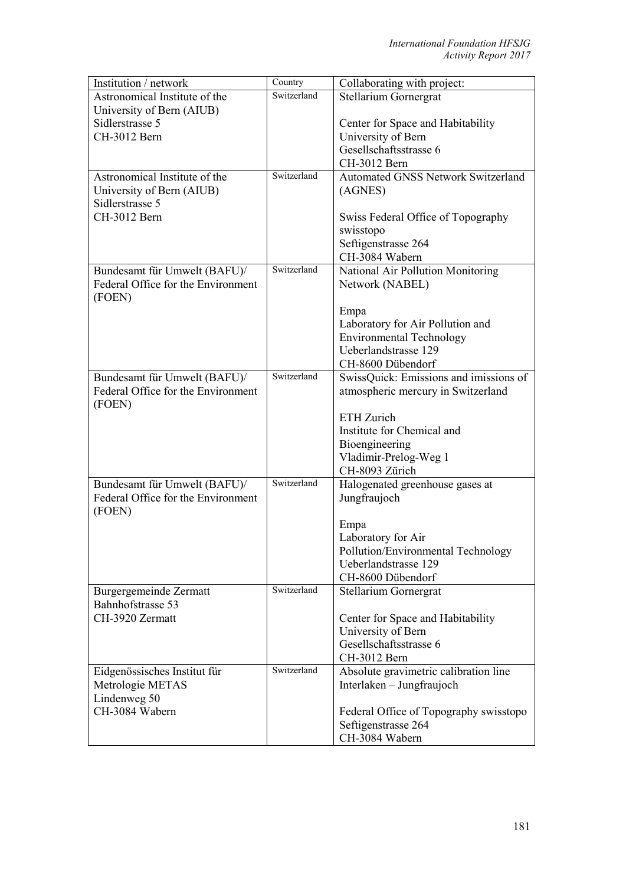| Institution / network              | Country     | Collaborating with project:                                |
|------------------------------------|-------------|------------------------------------------------------------|
| Astronomical Institute of the      | Switzerland | Stellarium Gornergrat                                      |
| University of Bern (AIUB)          |             |                                                            |
| Sidlerstrasse 5                    |             | Center for Space and Habitability                          |
| CH-3012 Bern                       |             | University of Bern                                         |
|                                    |             | Gesellschaftsstrasse 6                                     |
|                                    |             | CH-3012 Bern                                               |
| Astronomical Institute of the      | Switzerland | <b>Automated GNSS Network Switzerland</b>                  |
| University of Bern (AIUB)          |             | (AGNES)                                                    |
| Sidlerstrasse 5                    |             |                                                            |
| CH-3012 Bern                       |             | Swiss Federal Office of Topography                         |
|                                    |             | swisstopo<br>Seftigenstrasse 264                           |
|                                    |             | CH-3084 Wabern                                             |
| Bundesamt für Umwelt (BAFU)/       | Switzerland | National Air Pollution Monitoring                          |
| Federal Office for the Environment |             | Network (NABEL)                                            |
| (FOEN)                             |             |                                                            |
|                                    |             | Empa                                                       |
|                                    |             | Laboratory for Air Pollution and                           |
|                                    |             | <b>Environmental Technology</b>                            |
|                                    |             | Ueberlandstrasse 129                                       |
|                                    |             | CH-8600 Dübendorf                                          |
| Bundesamt für Umwelt (BAFU)/       | Switzerland | SwissQuick: Emissions and imissions of                     |
| Federal Office for the Environment |             | atmospheric mercury in Switzerland                         |
| (FOEN)                             |             |                                                            |
|                                    |             | ETH Zurich                                                 |
|                                    |             | Institute for Chemical and                                 |
|                                    |             | Bioengineering                                             |
|                                    |             | Vladimir-Prelog-Weg 1                                      |
|                                    |             | CH-8093 Zürich                                             |
| Bundesamt für Umwelt (BAFU)/       | Switzerland | Halogenated greenhouse gases at                            |
| Federal Office for the Environment |             | Jungfraujoch                                               |
| (FOEN)                             |             |                                                            |
|                                    |             | Empa                                                       |
|                                    |             | Laboratory for Air                                         |
|                                    |             | Pollution/Environmental Technology<br>Ueberlandstrasse 129 |
|                                    |             | CH-8600 Dübendorf                                          |
| Burgergemeinde Zermatt             | Switzerland | Stellarium Gornergrat                                      |
| Bahnhofstrasse 53                  |             |                                                            |
| CH-3920 Zermatt                    |             | Center for Space and Habitability                          |
|                                    |             | University of Bern                                         |
|                                    |             | Gesellschaftsstrasse 6                                     |
|                                    |             | CH-3012 Bern                                               |
| Eidgenössisches Institut für       | Switzerland | Absolute gravimetric calibration line                      |
| Metrologie METAS                   |             | Interlaken – Jungfraujoch                                  |
| Lindenweg 50                       |             |                                                            |
| CH-3084 Wabern                     |             | Federal Office of Topography swisstopo                     |
|                                    |             | Seftigenstrasse 264                                        |
|                                    |             | CH-3084 Wabern                                             |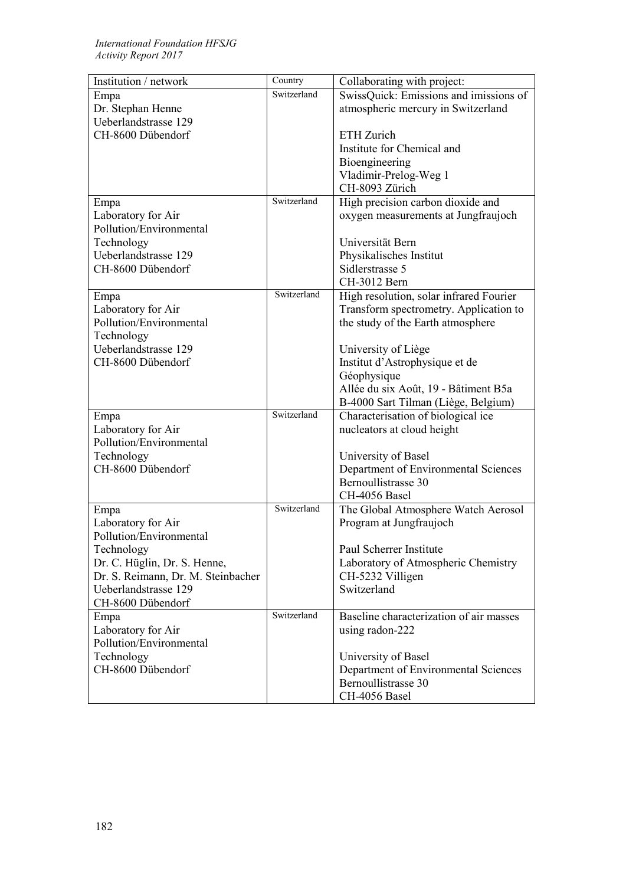| Institution / network              | Country     | Collaborating with project:             |
|------------------------------------|-------------|-----------------------------------------|
| Empa                               | Switzerland | SwissQuick: Emissions and imissions of  |
| Dr. Stephan Henne                  |             | atmospheric mercury in Switzerland      |
| Ueberlandstrasse 129               |             |                                         |
| CH-8600 Dübendorf                  |             | ETH Zurich                              |
|                                    |             | Institute for Chemical and              |
|                                    |             | Bioengineering                          |
|                                    |             | Vladimir-Prelog-Weg 1                   |
|                                    |             | CH-8093 Zürich                          |
| Empa                               | Switzerland | High precision carbon dioxide and       |
| Laboratory for Air                 |             | oxygen measurements at Jungfraujoch     |
| Pollution/Environmental            |             |                                         |
| Technology                         |             | Universität Bern                        |
| Ueberlandstrasse 129               |             | Physikalisches Institut                 |
| CH-8600 Dübendorf                  |             | Sidlerstrasse 5                         |
|                                    |             | CH-3012 Bern                            |
| Empa                               | Switzerland | High resolution, solar infrared Fourier |
| Laboratory for Air                 |             | Transform spectrometry. Application to  |
| Pollution/Environmental            |             | the study of the Earth atmosphere       |
| Technology                         |             |                                         |
| Ueberlandstrasse 129               |             | University of Liège                     |
| CH-8600 Dübendorf                  |             | Institut d'Astrophysique et de          |
|                                    |             | Géophysique                             |
|                                    |             | Allée du six Août, 19 - Bâtiment B5a    |
|                                    |             | B-4000 Sart Tilman (Liège, Belgium)     |
| Empa                               | Switzerland | Characterisation of biological ice      |
| Laboratory for Air                 |             | nucleators at cloud height              |
| Pollution/Environmental            |             |                                         |
| Technology                         |             | University of Basel                     |
| CH-8600 Dübendorf                  |             | Department of Environmental Sciences    |
|                                    |             | Bernoullistrasse 30                     |
|                                    |             | CH-4056 Basel                           |
| Empa                               | Switzerland | The Global Atmosphere Watch Aerosol     |
| Laboratory for Air                 |             | Program at Jungfraujoch                 |
| Pollution/Environmental            |             |                                         |
| Technology                         |             | Paul Scherrer Institute                 |
| Dr. C. Hüglin, Dr. S. Henne,       |             | Laboratory of Atmospheric Chemistry     |
| Dr. S. Reimann, Dr. M. Steinbacher |             | CH-5232 Villigen                        |
| Ueberlandstrasse 129               |             | Switzerland                             |
| CH-8600 Dübendorf                  |             |                                         |
| Empa                               | Switzerland | Baseline characterization of air masses |
| Laboratory for Air                 |             | using radon-222                         |
| Pollution/Environmental            |             |                                         |
| Technology                         |             | University of Basel                     |
| CH-8600 Dübendorf                  |             | Department of Environmental Sciences    |
|                                    |             | Bernoullistrasse 30                     |
|                                    |             | CH-4056 Basel                           |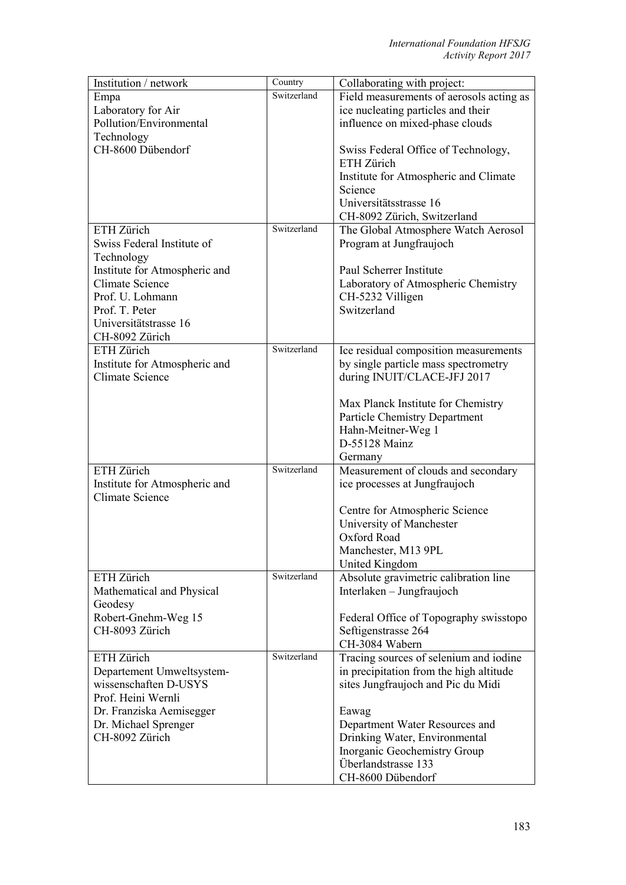| Institution / network                   | Country     | Collaborating with project:              |
|-----------------------------------------|-------------|------------------------------------------|
| Empa                                    | Switzerland | Field measurements of aerosols acting as |
| Laboratory for Air                      |             | ice nucleating particles and their       |
| Pollution/Environmental                 |             | influence on mixed-phase clouds          |
| Technology                              |             |                                          |
| CH-8600 Dübendorf                       |             | Swiss Federal Office of Technology,      |
|                                         |             | ETH Zürich                               |
|                                         |             | Institute for Atmospheric and Climate    |
|                                         |             | Science                                  |
|                                         |             | Universitätsstrasse 16                   |
|                                         |             | CH-8092 Zürich, Switzerland              |
| ETH Zürich                              | Switzerland | The Global Atmosphere Watch Aerosol      |
| Swiss Federal Institute of              |             | Program at Jungfraujoch                  |
| Technology                              |             |                                          |
| Institute for Atmospheric and           |             | Paul Scherrer Institute                  |
| <b>Climate Science</b>                  |             | Laboratory of Atmospheric Chemistry      |
| Prof. U. Lohmann                        |             | CH-5232 Villigen<br>Switzerland          |
| Prof. T. Peter<br>Universitätstrasse 16 |             |                                          |
| CH-8092 Zürich                          |             |                                          |
| ETH Zürich                              | Switzerland | Ice residual composition measurements    |
| Institute for Atmospheric and           |             | by single particle mass spectrometry     |
| <b>Climate Science</b>                  |             | during INUIT/CLACE-JFJ 2017              |
|                                         |             |                                          |
|                                         |             | Max Planck Institute for Chemistry       |
|                                         |             | Particle Chemistry Department            |
|                                         |             | Hahn-Meitner-Weg 1                       |
|                                         |             | D-55128 Mainz                            |
|                                         |             | Germany                                  |
| ETH Zürich                              | Switzerland | Measurement of clouds and secondary      |
| Institute for Atmospheric and           |             | ice processes at Jungfraujoch            |
| <b>Climate Science</b>                  |             |                                          |
|                                         |             | Centre for Atmospheric Science           |
|                                         |             | University of Manchester                 |
|                                         |             | Oxford Road                              |
|                                         |             | Manchester, M13 9PL                      |
|                                         |             | United Kingdom                           |
| ETH Zürich                              | Switzerland | Absolute gravimetric calibration line    |
| Mathematical and Physical               |             | Interlaken - Jungfraujoch                |
| Geodesy                                 |             |                                          |
| Robert-Gnehm-Weg 15                     |             | Federal Office of Topography swisstopo   |
| CH-8093 Zürich                          |             | Seftigenstrasse 264                      |
|                                         |             | CH-3084 Wabern                           |
| ETH Zürich                              | Switzerland | Tracing sources of selenium and iodine   |
| Departement Umweltsystem-               |             | in precipitation from the high altitude  |
| wissenschaften D-USYS                   |             | sites Jungfraujoch and Pic du Midi       |
| Prof. Heini Wernli                      |             |                                          |
| Dr. Franziska Aemisegger                |             | Eawag                                    |
| Dr. Michael Sprenger                    |             | Department Water Resources and           |
| CH-8092 Zürich                          |             | Drinking Water, Environmental            |
|                                         |             | Inorganic Geochemistry Group             |
|                                         |             | Überlandstrasse 133                      |
|                                         |             | CH-8600 Dübendorf                        |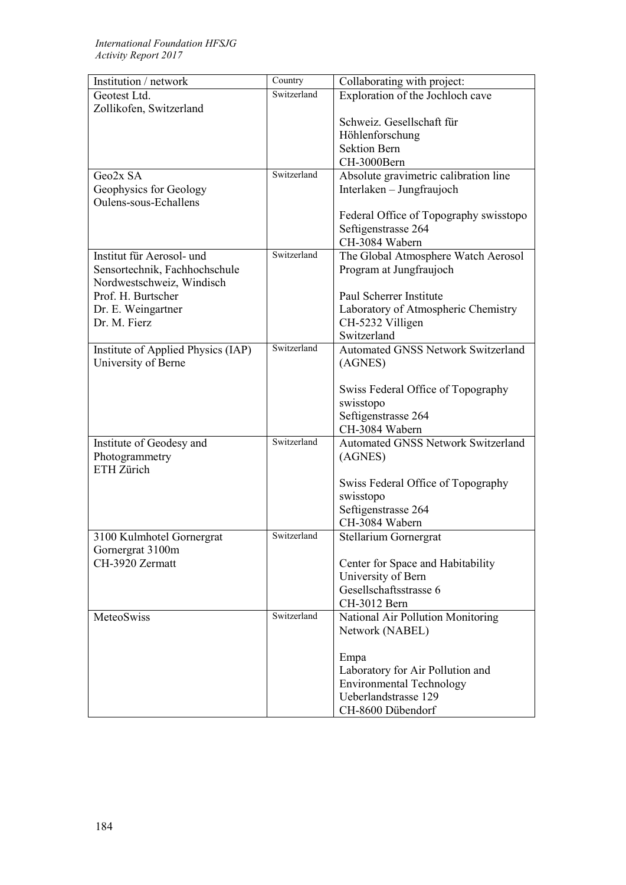## *International Foundation HFSJG Activity Report 2017*

| Institution / network                           | Country     | Collaborating with project:               |
|-------------------------------------------------|-------------|-------------------------------------------|
| Geotest Ltd.                                    | Switzerland | Exploration of the Jochloch cave          |
| Zollikofen, Switzerland                         |             |                                           |
|                                                 |             | Schweiz. Gesellschaft für                 |
|                                                 |             | Höhlenforschung                           |
|                                                 |             | <b>Sektion Bern</b>                       |
|                                                 | Switzerland | CH-3000Bern                               |
| Geo2x SA                                        |             | Absolute gravimetric calibration line     |
| Geophysics for Geology<br>Oulens-sous-Echallens |             | Interlaken – Jungfraujoch                 |
|                                                 |             | Federal Office of Topography swisstopo    |
|                                                 |             | Seftigenstrasse 264                       |
|                                                 |             | CH-3084 Wabern                            |
| Institut für Aerosol- und                       | Switzerland | The Global Atmosphere Watch Aerosol       |
| Sensortechnik, Fachhochschule                   |             | Program at Jungfraujoch                   |
| Nordwestschweiz, Windisch                       |             |                                           |
| Prof. H. Burtscher                              |             | Paul Scherrer Institute                   |
| Dr. E. Weingartner                              |             | Laboratory of Atmospheric Chemistry       |
| Dr. M. Fierz                                    |             | CH-5232 Villigen                          |
|                                                 |             | Switzerland                               |
| Institute of Applied Physics (IAP)              | Switzerland | <b>Automated GNSS Network Switzerland</b> |
| University of Berne                             |             | (AGNES)                                   |
|                                                 |             |                                           |
|                                                 |             | Swiss Federal Office of Topography        |
|                                                 |             | swisstopo                                 |
|                                                 |             | Seftigenstrasse 264<br>CH-3084 Wabern     |
| Institute of Geodesy and                        | Switzerland | <b>Automated GNSS Network Switzerland</b> |
| Photogrammetry                                  |             | (AGNES)                                   |
| ETH Zürich                                      |             |                                           |
|                                                 |             | Swiss Federal Office of Topography        |
|                                                 |             | swisstopo                                 |
|                                                 |             | Seftigenstrasse 264                       |
|                                                 |             | CH-3084 Wabern                            |
| 3100 Kulmhotel Gornergrat                       | Switzerland | Stellarium Gornergrat                     |
| Gornergrat 3100m                                |             |                                           |
| CH-3920 Zermatt                                 |             | Center for Space and Habitability         |
|                                                 |             | University of Bern                        |
|                                                 |             | Gesellschaftsstrasse 6                    |
|                                                 |             | CH-3012 Bern                              |
| MeteoSwiss                                      | Switzerland | National Air Pollution Monitoring         |
|                                                 |             | Network (NABEL)                           |
|                                                 |             |                                           |
|                                                 |             | Empa<br>Laboratory for Air Pollution and  |
|                                                 |             | <b>Environmental Technology</b>           |
|                                                 |             | Ueberlandstrasse 129                      |
|                                                 |             | CH-8600 Dübendorf                         |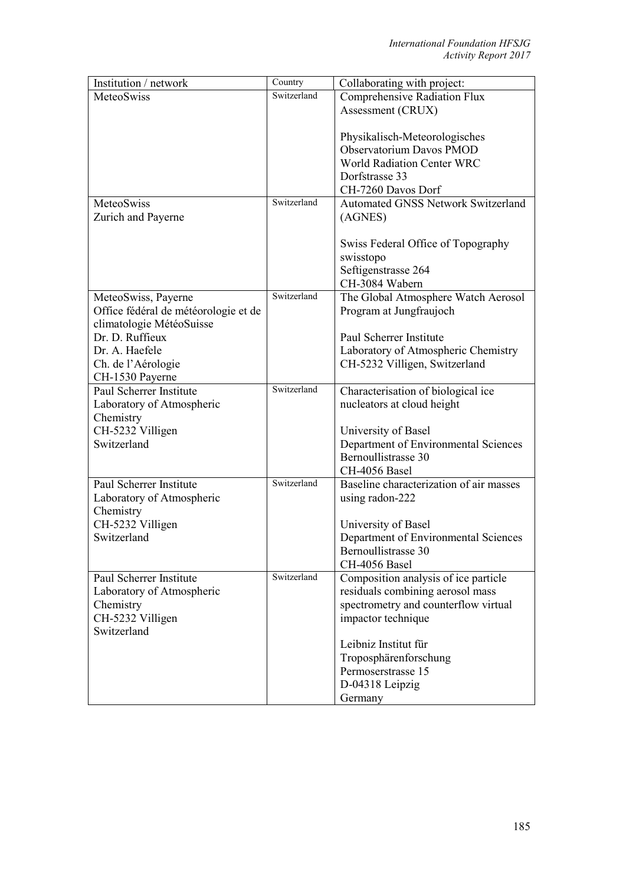| Institution / network                | Country     | Collaborating with project:                     |
|--------------------------------------|-------------|-------------------------------------------------|
| MeteoSwiss                           | Switzerland | Comprehensive Radiation Flux                    |
|                                      |             | Assessment (CRUX)                               |
|                                      |             |                                                 |
|                                      |             | Physikalisch-Meteorologisches                   |
|                                      |             | Observatorium Davos PMOD                        |
|                                      |             | <b>World Radiation Center WRC</b>               |
|                                      |             | Dorfstrasse 33                                  |
|                                      |             | CH-7260 Davos Dorf                              |
| MeteoSwiss                           | Switzerland | <b>Automated GNSS Network Switzerland</b>       |
| Zurich and Payerne                   |             | (AGNES)                                         |
|                                      |             |                                                 |
|                                      |             | Swiss Federal Office of Topography<br>swisstopo |
|                                      |             | Seftigenstrasse 264                             |
|                                      |             | CH-3084 Wabern                                  |
| MeteoSwiss, Payerne                  | Switzerland | The Global Atmosphere Watch Aerosol             |
| Office fédéral de météorologie et de |             | Program at Jungfraujoch                         |
| climatologie MétéoSuisse             |             |                                                 |
| Dr. D. Ruffieux                      |             | Paul Scherrer Institute                         |
| Dr. A. Haefele                       |             | Laboratory of Atmospheric Chemistry             |
| Ch. de l'Aérologie                   |             | CH-5232 Villigen, Switzerland                   |
| CH-1530 Payerne                      |             |                                                 |
| Paul Scherrer Institute              | Switzerland | Characterisation of biological ice              |
| Laboratory of Atmospheric            |             | nucleators at cloud height                      |
| Chemistry                            |             |                                                 |
| CH-5232 Villigen                     |             | University of Basel                             |
| Switzerland                          |             | Department of Environmental Sciences            |
|                                      |             | Bernoullistrasse 30                             |
|                                      |             | CH-4056 Basel                                   |
| Paul Scherrer Institute              | Switzerland | Baseline characterization of air masses         |
| Laboratory of Atmospheric            |             | using radon-222                                 |
| Chemistry                            |             |                                                 |
| CH-5232 Villigen                     |             | University of Basel                             |
| Switzerland                          |             | Department of Environmental Sciences            |
|                                      |             | Bernoullistrasse 30<br>CH-4056 Basel            |
| Paul Scherrer Institute              | Switzerland | Composition analysis of ice particle            |
| Laboratory of Atmospheric            |             | residuals combining aerosol mass                |
| Chemistry                            |             | spectrometry and counterflow virtual            |
| CH-5232 Villigen                     |             | impactor technique                              |
| Switzerland                          |             |                                                 |
|                                      |             | Leibniz Institut für                            |
|                                      |             | Troposphärenforschung                           |
|                                      |             | Permoserstrasse 15                              |
|                                      |             | D-04318 Leipzig                                 |
|                                      |             | Germany                                         |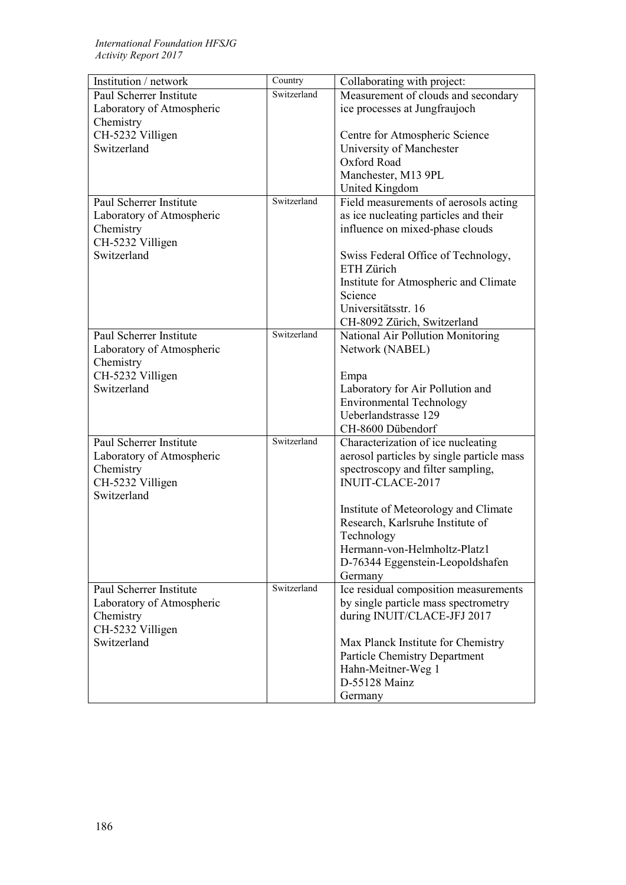| Institution / network     | Country     | Collaborating with project:               |
|---------------------------|-------------|-------------------------------------------|
| Paul Scherrer Institute   | Switzerland | Measurement of clouds and secondary       |
| Laboratory of Atmospheric |             | ice processes at Jungfraujoch             |
| Chemistry                 |             |                                           |
| CH-5232 Villigen          |             | Centre for Atmospheric Science            |
| Switzerland               |             | University of Manchester                  |
|                           |             | Oxford Road                               |
|                           |             | Manchester, M13 9PL                       |
|                           |             | United Kingdom                            |
| Paul Scherrer Institute   | Switzerland | Field measurements of aerosols acting     |
| Laboratory of Atmospheric |             | as ice nucleating particles and their     |
| Chemistry                 |             | influence on mixed-phase clouds           |
| CH-5232 Villigen          |             |                                           |
| Switzerland               |             | Swiss Federal Office of Technology,       |
|                           |             | ETH Zürich                                |
|                           |             | Institute for Atmospheric and Climate     |
|                           |             | Science                                   |
|                           |             | Universitätsstr. 16                       |
|                           |             | CH-8092 Zürich, Switzerland               |
| Paul Scherrer Institute   | Switzerland | National Air Pollution Monitoring         |
| Laboratory of Atmospheric |             | Network (NABEL)                           |
| Chemistry                 |             |                                           |
| CH-5232 Villigen          |             | Empa                                      |
| Switzerland               |             | Laboratory for Air Pollution and          |
|                           |             | <b>Environmental Technology</b>           |
|                           |             | Ueberlandstrasse 129                      |
|                           |             | CH-8600 Dübendorf                         |
| Paul Scherrer Institute   | Switzerland | Characterization of ice nucleating        |
| Laboratory of Atmospheric |             | aerosol particles by single particle mass |
| Chemistry                 |             | spectroscopy and filter sampling,         |
| CH-5232 Villigen          |             | <b>INUIT-CLACE-2017</b>                   |
| Switzerland               |             |                                           |
|                           |             | Institute of Meteorology and Climate      |
|                           |             | Research, Karlsruhe Institute of          |
|                           |             | Technology                                |
|                           |             | Hermann-von-Helmholtz-Platz1              |
|                           |             | D-76344 Eggenstein-Leopoldshafen          |
|                           |             | Germany                                   |
| Paul Scherrer Institute   | Switzerland | Ice residual composition measurements     |
| Laboratory of Atmospheric |             | by single particle mass spectrometry      |
| Chemistry                 |             | during INUIT/CLACE-JFJ 2017               |
| CH-5232 Villigen          |             |                                           |
| Switzerland               |             | Max Planck Institute for Chemistry        |
|                           |             | <b>Particle Chemistry Department</b>      |
|                           |             | Hahn-Meitner-Weg 1                        |
|                           |             | D-55128 Mainz                             |
|                           |             | Germany                                   |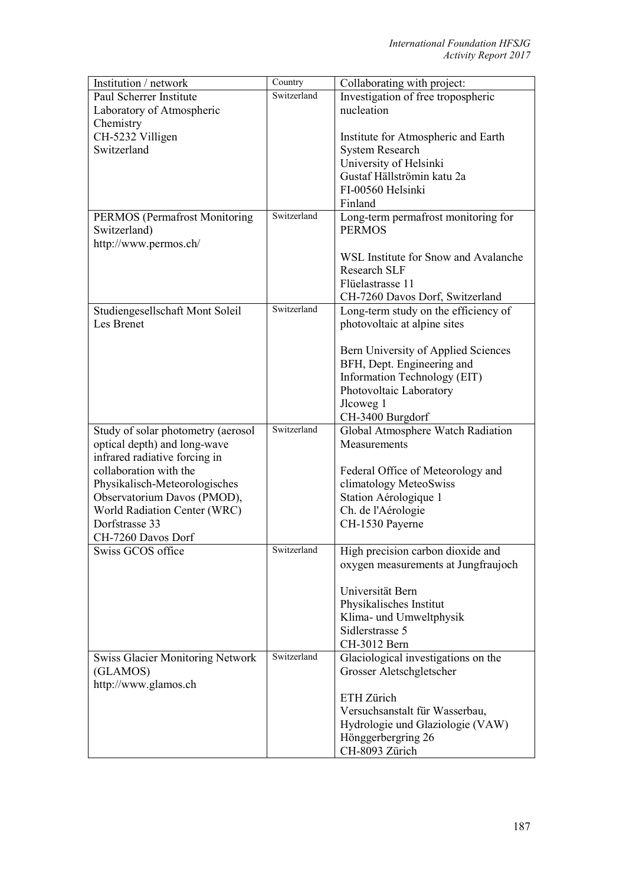| Institution / network                   | Country     | Collaborating with project:          |
|-----------------------------------------|-------------|--------------------------------------|
| Paul Scherrer Institute                 | Switzerland | Investigation of free tropospheric   |
| Laboratory of Atmospheric               |             | nucleation                           |
| Chemistry                               |             |                                      |
| CH-5232 Villigen                        |             | Institute for Atmospheric and Earth  |
| Switzerland                             |             | <b>System Research</b>               |
|                                         |             | University of Helsinki               |
|                                         |             | Gustaf Hällströmin katu 2a           |
|                                         |             | FI-00560 Helsinki                    |
|                                         |             | Finland                              |
| <b>PERMOS</b> (Permafrost Monitoring    | Switzerland | Long-term permafrost monitoring for  |
| Switzerland)                            |             | <b>PERMOS</b>                        |
| http://www.permos.ch/                   |             |                                      |
|                                         |             | WSL Institute for Snow and Avalanche |
|                                         |             | <b>Research SLF</b>                  |
|                                         |             | Flüelastrasse 11                     |
|                                         |             | CH-7260 Davos Dorf, Switzerland      |
| Studiengesellschaft Mont Soleil         | Switzerland | Long-term study on the efficiency of |
| Les Brenet                              |             | photovoltaic at alpine sites         |
|                                         |             |                                      |
|                                         |             | Bern University of Applied Sciences  |
|                                         |             | BFH, Dept. Engineering and           |
|                                         |             | Information Technology (EIT)         |
|                                         |             | Photovoltaic Laboratory              |
|                                         |             | Jlcoweg 1                            |
|                                         |             | CH-3400 Burgdorf                     |
| Study of solar photometry (aerosol      | Switzerland | Global Atmosphere Watch Radiation    |
| optical depth) and long-wave            |             | Measurements                         |
| infrared radiative forcing in           |             |                                      |
| collaboration with the                  |             | Federal Office of Meteorology and    |
| Physikalisch-Meteorologisches           |             | climatology MeteoSwiss               |
| Observatorium Davos (PMOD),             |             | Station Aérologique 1                |
| World Radiation Center (WRC)            |             | Ch. de l'Aérologie                   |
| Dorfstrasse 33                          |             | CH-1530 Payerne                      |
| CH-7260 Davos Dorf                      |             |                                      |
| Swiss GCOS office                       | Switzerland | High precision carbon dioxide and    |
|                                         |             | oxygen measurements at Jungfraujoch  |
|                                         |             |                                      |
|                                         |             | Universität Bern                     |
|                                         |             | Physikalisches Institut              |
|                                         |             | Klima- und Umweltphysik              |
|                                         |             | Sidlerstrasse 5                      |
|                                         |             | CH-3012 Bern                         |
| <b>Swiss Glacier Monitoring Network</b> | Switzerland | Glaciological investigations on the  |
| (GLAMOS)                                |             | Grosser Aletschgletscher             |
| http://www.glamos.ch                    |             |                                      |
|                                         |             | ETH Zürich                           |
|                                         |             | Versuchsanstalt für Wasserbau,       |
|                                         |             | Hydrologie und Glaziologie (VAW)     |
|                                         |             | Hönggerbergring 26                   |
|                                         |             | CH-8093 Zürich                       |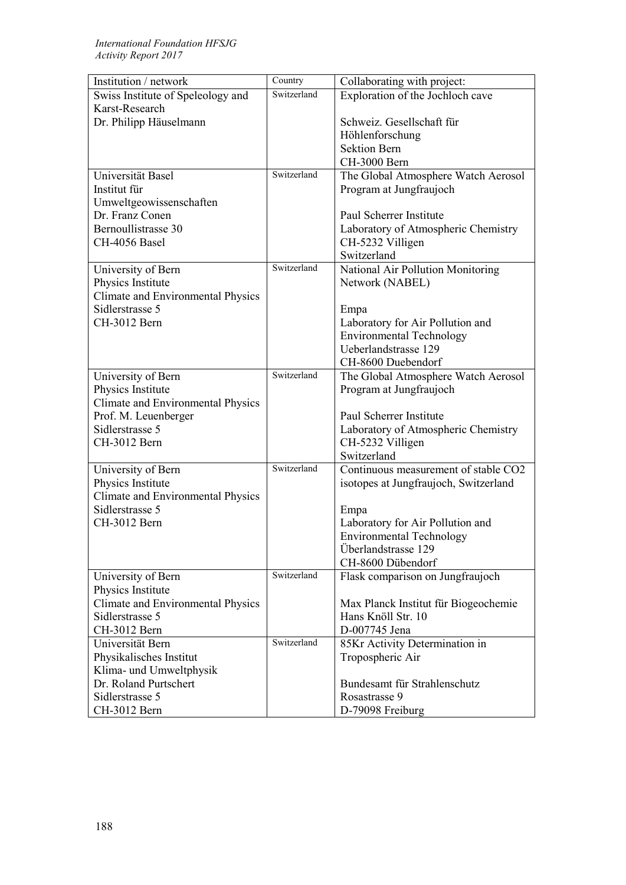| Institution / network                                  | Country     | Collaborating with project:           |
|--------------------------------------------------------|-------------|---------------------------------------|
| Swiss Institute of Speleology and                      | Switzerland | Exploration of the Jochloch cave      |
| Karst-Research                                         |             |                                       |
| Dr. Philipp Häuselmann                                 |             | Schweiz. Gesellschaft für             |
|                                                        |             | Höhlenforschung                       |
|                                                        |             | <b>Sektion Bern</b>                   |
|                                                        |             | CH-3000 Bern                          |
| Universität Basel                                      | Switzerland | The Global Atmosphere Watch Aerosol   |
| Institut für                                           |             | Program at Jungfraujoch               |
| Umweltgeowissenschaften                                |             |                                       |
| Dr. Franz Conen                                        |             | Paul Scherrer Institute               |
| Bernoullistrasse 30                                    |             | Laboratory of Atmospheric Chemistry   |
| CH-4056 Basel                                          |             | CH-5232 Villigen                      |
|                                                        |             | Switzerland                           |
| University of Bern                                     | Switzerland | National Air Pollution Monitoring     |
| Physics Institute                                      |             | Network (NABEL)                       |
| Climate and Environmental Physics                      |             |                                       |
| Sidlerstrasse 5                                        |             | Empa                                  |
| CH-3012 Bern                                           |             | Laboratory for Air Pollution and      |
|                                                        |             | <b>Environmental Technology</b>       |
|                                                        |             | Ueberlandstrasse 129                  |
|                                                        |             | CH-8600 Duebendorf                    |
| University of Bern                                     | Switzerland | The Global Atmosphere Watch Aerosol   |
| Physics Institute                                      |             | Program at Jungfraujoch               |
| <b>Climate and Environmental Physics</b>               |             |                                       |
| Prof. M. Leuenberger                                   |             | Paul Scherrer Institute               |
| Sidlerstrasse 5                                        |             | Laboratory of Atmospheric Chemistry   |
| CH-3012 Bern                                           |             | CH-5232 Villigen<br>Switzerland       |
|                                                        | Switzerland | Continuous measurement of stable CO2  |
| University of Bern                                     |             |                                       |
| Physics Institute<br>Climate and Environmental Physics |             | isotopes at Jungfraujoch, Switzerland |
| Sidlerstrasse 5                                        |             | Empa                                  |
| CH-3012 Bern                                           |             | Laboratory for Air Pollution and      |
|                                                        |             | <b>Environmental Technology</b>       |
|                                                        |             | Überlandstrasse 129                   |
|                                                        |             | CH-8600 Dübendorf                     |
| University of Bern                                     | Switzerland | Flask comparison on Jungfraujoch      |
| Physics Institute                                      |             |                                       |
| Climate and Environmental Physics                      |             | Max Planck Institut für Biogeochemie  |
| Sidlerstrasse 5                                        |             | Hans Knöll Str. 10                    |
| CH-3012 Bern                                           |             | D-007745 Jena                         |
| Universität Bern                                       | Switzerland | 85Kr Activity Determination in        |
| Physikalisches Institut                                |             | Tropospheric Air                      |
| Klima- und Umweltphysik                                |             |                                       |
| Dr. Roland Purtschert                                  |             | Bundesamt für Strahlenschutz          |
| Sidlerstrasse 5                                        |             | Rosastrasse 9                         |
| CH-3012 Bern                                           |             | D-79098 Freiburg                      |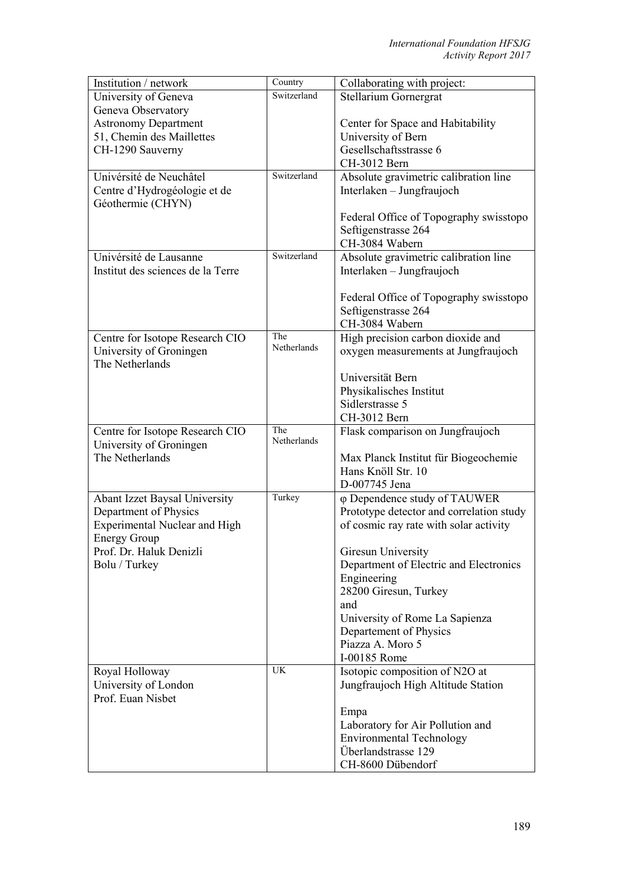| Institution / network                | Country     | Collaborating with project:              |
|--------------------------------------|-------------|------------------------------------------|
| University of Geneva                 | Switzerland | <b>Stellarium Gornergrat</b>             |
| Geneva Observatory                   |             |                                          |
| <b>Astronomy Department</b>          |             | Center for Space and Habitability        |
| 51, Chemin des Maillettes            |             | University of Bern                       |
| CH-1290 Sauverny                     |             | Gesellschaftsstrasse 6                   |
|                                      |             | CH-3012 Bern                             |
| Univérsité de Neuchâtel              | Switzerland | Absolute gravimetric calibration line    |
| Centre d'Hydrogéologie et de         |             | Interlaken - Jungfraujoch                |
| Géothermie (CHYN)                    |             |                                          |
|                                      |             | Federal Office of Topography swisstopo   |
|                                      |             | Seftigenstrasse 264                      |
|                                      |             | CH-3084 Wabern                           |
| Univérsité de Lausanne               | Switzerland | Absolute gravimetric calibration line    |
| Institut des sciences de la Terre    |             | Interlaken - Jungfraujoch                |
|                                      |             |                                          |
|                                      |             | Federal Office of Topography swisstopo   |
|                                      |             | Seftigenstrasse 264                      |
|                                      |             | CH-3084 Wabern                           |
| Centre for Isotope Research CIO      | The         | High precision carbon dioxide and        |
| University of Groningen              | Netherlands | oxygen measurements at Jungfraujoch      |
| The Netherlands                      |             |                                          |
|                                      |             | Universität Bern                         |
|                                      |             | Physikalisches Institut                  |
|                                      |             | Sidlerstrasse 5                          |
|                                      |             | CH-3012 Bern                             |
| Centre for Isotope Research CIO      | The         | Flask comparison on Jungfraujoch         |
| University of Groningen              | Netherlands |                                          |
| The Netherlands                      |             | Max Planck Institut für Biogeochemie     |
|                                      |             | Hans Knöll Str. 10                       |
|                                      |             | D-007745 Jena                            |
| <b>Abant Izzet Baysal University</b> | Turkey      | φ Dependence study of TAUWER             |
| Department of Physics                |             | Prototype detector and correlation study |
| <b>Experimental Nuclear and High</b> |             | of cosmic ray rate with solar activity   |
| <b>Energy Group</b>                  |             |                                          |
| Prof. Dr. Haluk Denizli              |             |                                          |
|                                      |             | Giresun University                       |
| Bolu / Turkey                        |             | Department of Electric and Electronics   |
|                                      |             | Engineering                              |
|                                      |             | 28200 Giresun, Turkey                    |
|                                      |             | and                                      |
|                                      |             | University of Rome La Sapienza           |
|                                      |             | Departement of Physics                   |
|                                      |             | Piazza A. Moro 5                         |
|                                      |             | I-00185 Rome                             |
| Royal Holloway                       | UK          | Isotopic composition of N2O at           |
| University of London                 |             | Jungfraujoch High Altitude Station       |
| Prof. Euan Nisbet                    |             |                                          |
|                                      |             | Empa                                     |
|                                      |             | Laboratory for Air Pollution and         |
|                                      |             | <b>Environmental Technology</b>          |
|                                      |             | Überlandstrasse 129<br>CH-8600 Dübendorf |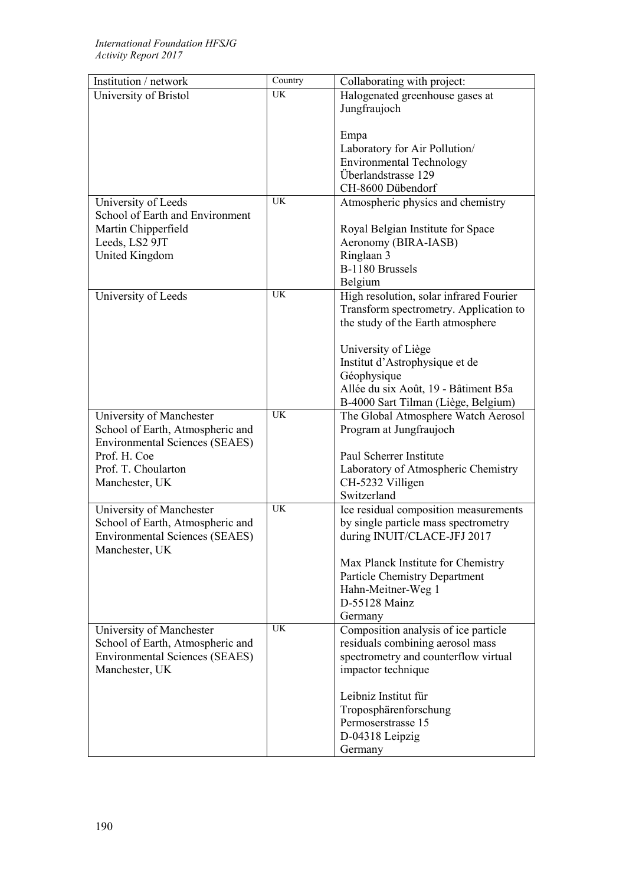| Institution / network                                 | Country   | Collaborating with project:                                                |
|-------------------------------------------------------|-----------|----------------------------------------------------------------------------|
| University of Bristol                                 | UK        | Halogenated greenhouse gases at                                            |
|                                                       |           | Jungfraujoch                                                               |
|                                                       |           |                                                                            |
|                                                       |           | Empa                                                                       |
|                                                       |           | Laboratory for Air Pollution/                                              |
|                                                       |           | <b>Environmental Technology</b>                                            |
|                                                       |           | Überlandstrasse 129                                                        |
|                                                       |           | CH-8600 Dübendorf                                                          |
| University of Leeds                                   | UK        | Atmospheric physics and chemistry                                          |
| School of Earth and Environment                       |           |                                                                            |
| Martin Chipperfield                                   |           | Royal Belgian Institute for Space                                          |
| Leeds, LS2 9JT                                        |           | Aeronomy (BIRA-IASB)                                                       |
| United Kingdom                                        |           | Ringlaan 3                                                                 |
|                                                       |           | B-1180 Brussels                                                            |
|                                                       |           | Belgium                                                                    |
| University of Leeds                                   | <b>UK</b> | High resolution, solar infrared Fourier                                    |
|                                                       |           | Transform spectrometry. Application to                                     |
|                                                       |           | the study of the Earth atmosphere                                          |
|                                                       |           |                                                                            |
|                                                       |           | University of Liège                                                        |
|                                                       |           | Institut d'Astrophysique et de                                             |
|                                                       |           | Géophysique                                                                |
|                                                       |           | Allée du six Août, 19 - Bâtiment B5a                                       |
|                                                       |           |                                                                            |
|                                                       | <b>UK</b> | B-4000 Sart Tilman (Liège, Belgium)<br>The Global Atmosphere Watch Aerosol |
| University of Manchester                              |           |                                                                            |
| School of Earth, Atmospheric and                      |           | Program at Jungfraujoch                                                    |
| <b>Environmental Sciences (SEAES)</b><br>Prof. H. Coe |           |                                                                            |
|                                                       |           | Paul Scherrer Institute                                                    |
| Prof. T. Choularton                                   |           | Laboratory of Atmospheric Chemistry                                        |
| Manchester, UK                                        |           | CH-5232 Villigen                                                           |
|                                                       | <b>UK</b> | Switzerland                                                                |
| University of Manchester                              |           | Ice residual composition measurements                                      |
| School of Earth, Atmospheric and                      |           | by single particle mass spectrometry                                       |
| <b>Environmental Sciences (SEAES)</b>                 |           | during INUIT/CLACE-JFJ 2017                                                |
| Manchester, UK                                        |           |                                                                            |
|                                                       |           | Max Planck Institute for Chemistry                                         |
|                                                       |           | <b>Particle Chemistry Department</b>                                       |
|                                                       |           | Hahn-Meitner-Weg 1                                                         |
|                                                       |           | D-55128 Mainz                                                              |
|                                                       |           | Germany                                                                    |
| University of Manchester                              | <b>UK</b> | Composition analysis of ice particle                                       |
| School of Earth, Atmospheric and                      |           | residuals combining aerosol mass                                           |
| <b>Environmental Sciences (SEAES)</b>                 |           | spectrometry and counterflow virtual                                       |
| Manchester, UK                                        |           | impactor technique                                                         |
|                                                       |           |                                                                            |
|                                                       |           | Leibniz Institut für                                                       |
|                                                       |           | Troposphärenforschung                                                      |
|                                                       |           | Permoserstrasse 15                                                         |
|                                                       |           | D-04318 Leipzig                                                            |
|                                                       |           | Germany                                                                    |